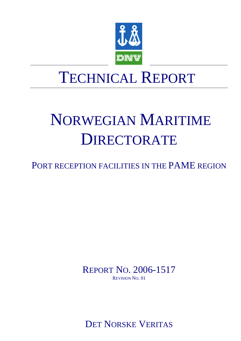

# NORWEGIAN MARITIME DIRECTORATE

PORT RECEPTION FACILITIES IN THE PAME REGION

REPORT NO. 2006-1517 REVISION NO. 01

DET NORSKE VERITAS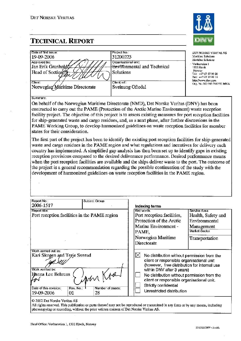

| Date of first issue:<br>19-09-2006<br>Approved by:<br>Jan Erik Granholdfz<br>Head of Section<br>Client | Project No.:<br>31200223<br>Organisational unit:<br><b>Environmental and Technical</b><br>Solutions<br>Client ref.: | <b>DET NORSKE VERITAS AS</b><br>Maritime Solutions<br><b>Martime Solutions</b><br>· Veritasveien 1<br>1322 Hovik<br>Norway<br>Tel: $+4767579900$<br>Fax: +47 67 57 99 11<br>http://www.dnv.com |
|--------------------------------------------------------------------------------------------------------|---------------------------------------------------------------------------------------------------------------------|------------------------------------------------------------------------------------------------------------------------------------------------------------------------------------------------|
| Norwegian Maritime Directorate                                                                         | Sveinung Oftedal                                                                                                    | Org. No: NO 945 748 931 MVA                                                                                                                                                                    |

#### Summary:

On behalf of the Norwegian Maritime Directorate (NMD), Det Norske Veritas (DNV) has been contracted to carry out the PAME (Protection of the Arctic Marine Environment) waste reception facility project. The objective of this project is to assess existing measures for port reception facilities for ship-generated waste and cargo residues, and, as a next phase, after further discussions in the PAME Working Group, to develop harmonized guidelines on waste reception facilities for member states for their consideration.

The first part of the project has been to identify the existing port reception facilities for ship-generated waste and cargo residues in the PAME region and what regulations and incentives for delivery each country has implemented. A simplified gap analysis has then been set up to identify gaps in existing reception provisions compared to the desired deliverance performance. Desired performance means when the port reception facilities are available and the ships deliver waste to the port. The outcome of the project is a general recommendation regarding the possible continuation of the study with the development of harmonized guidelines on waste reception facilities in the PAME region.

| Report No.:<br>2006-1517                                                                                                                                                                     | Subject Group: |   | Indexing terms                                                                                                                                                                                                                                                                                                           |                                                                                                             |
|----------------------------------------------------------------------------------------------------------------------------------------------------------------------------------------------|----------------|---|--------------------------------------------------------------------------------------------------------------------------------------------------------------------------------------------------------------------------------------------------------------------------------------------------------------------------|-------------------------------------------------------------------------------------------------------------|
| Report title:<br>Port reception facilities in the PAME region                                                                                                                                |                |   | <b>Key words</b><br>Port reception facilities,<br>Protection of the Arctic<br>Marine Environment -<br>PAME,<br>Norwegian Maritime<br>Directorate                                                                                                                                                                         | Service Area<br>Health, Safety and<br><b>Environmental</b><br>Management<br>Market Sector<br>Transportation |
| Work carried out by:<br>Kari Skogen and Terje Sverud<br>Work verified by:<br>Hanna Lee Behrens<br>iphr R<br>Date of this revision:<br>Rev. No.<br>Number of pages:<br>19-09-2006<br>28<br>01 |                | ⋈ | No distribution without permission from the<br>client or responsible organisational unit<br>(however, free distribution for internal use<br>within DNV after 3 years)<br>No distribution without permission from the<br>client or responsible organisational unit.<br>Strictly confidential<br>Unrestricted distribution |                                                                                                             |

#### © 2002 Det Norske Veritas AS

All rights reserved. This publication or parts thereof may not be reproduced or transmitted in any form or by any means, including photocopying or recording, without the prior written consent of Det Norske Veritas AS.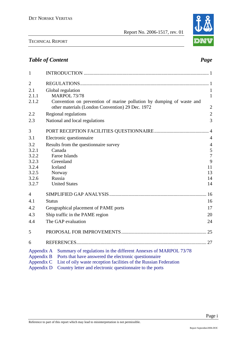

| $\mathbf{1}$   |               |                                                                      |                |
|----------------|---------------|----------------------------------------------------------------------|----------------|
| $\overline{2}$ |               |                                                                      |                |
| 2.1            |               | Global regulation                                                    | $\mathbf{1}$   |
| 2.1.1          |               | <b>MARPOL 73/78</b>                                                  | $\mathbf{1}$   |
| 2.1.2          |               | Convention on prevention of marine pollution by dumping of waste and |                |
|                |               | other materials (London Convention) 29 Dec. 1972                     | $\mathbf{2}$   |
| 2.2            |               | Regional regulations                                                 | $\overline{2}$ |
| 2.3            |               | National and local regulations                                       | 3              |
| 3              |               |                                                                      |                |
| 3.1            |               | Electronic questionnaire                                             | $\overline{4}$ |
| 3.2            |               | Results from the questionnaire survey                                | $\overline{4}$ |
| 3.2.1          |               | Canada                                                               | 5              |
| 3.2.2          |               | Faroe Islands                                                        | $\overline{7}$ |
| 3.2.3          |               | Greenland                                                            | 9              |
| 3.2.4          |               | Iceland                                                              | 11             |
| 3.2.5          |               | Norway                                                               | 13             |
| 3.2.6          |               | Russia                                                               | 14             |
| 3.2.7          |               | <b>United States</b>                                                 | 14             |
| 4              |               |                                                                      | 16             |
| 4.1            | <b>Status</b> |                                                                      | 16             |
| 4.2            |               | Geographical placement of PAME ports                                 | 17             |
| 4.3            |               | Ship traffic in the PAME region                                      | 20             |
| 4.4            |               | The GAP evaluation                                                   | 24             |
| 5              |               |                                                                      |                |
| 6              |               |                                                                      |                |
| Appendix A     |               | Summary of regulations in the different Annexes of MARPOL 73/78      |                |
| Appendix B     |               | Ports that have answered the electronic questionnaire                |                |
| Appendix C     |               | List of oily waste reception facilities of the Russian Federation    |                |
| Appendix D     |               | Country letter and electronic questionnaire to the ports             |                |

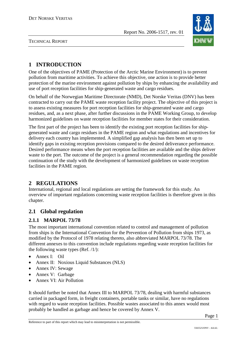

TECHNICAL REPORT

# **1 INTRODUCTION**

One of the objectives of PAME (Protection of the Arctic Marine Environment) is to prevent pollution from maritime activities. To achieve this objective, one action is to provide better protection of the marine environment against pollution by ships by enhancing the availability and use of port reception facilities for ship-generated waste and cargo residues.

On behalf of the Norwegian Maritime Directorate (NMD), Det Norske Veritas (DNV) has been contracted to carry out the PAME waste reception facility project. The objective of this project is to assess existing measures for port reception facilities for ship-generated waste and cargo residues, and, as a next phase, after further discussions in the PAME Working Group, to develop harmonized guidelines on waste reception facilities for member states for their consideration.

The first part of the project has been to identify the existing port reception facilities for shipgenerated waste and cargo residues in the PAME region and what regulations and incentives for delivery each country has implemented. A simplified gap analysis has then been set up to identify gaps in existing reception provisions compared to the desired deliverance performance. Desired performance means when the port reception facilities are available and the ships deliver waste to the port. The outcome of the project is a general recommendation regarding the possible continuation of the study with the development of harmonized guidelines on waste reception facilities in the PAME region.

# **2 REGULATIONS**

International, regional and local regulations are setting the framework for this study. An overview of important regulations concerning waste reception facilities is therefore given in this chapter.

# **2.1 Global regulation**

# **2.1.1 MARPOL 73/78**

The most important international convention related to control and management of pollution from ships is the International Convention for the Prevention of Pollution from ships 1973, as modified by the Protocol of 1978 relating thereto, also abbreviated MARPOL 73/78. The different annexes to this convention include regulations regarding waste reception facilities for the following waste types (Ref. /1/):

- Annex I: Oil
- Annex II: Noxious Liquid Substances (NLS)
- Annex IV: Sewage
- Annex V: Garbage
- Annex VI: Air Pollution

It should further be noted that Annex III to MARPOL 73/78, dealing with harmful substances carried in packaged form, in freight containers, portable tanks or similar, have no regulations with regard to waste reception facilities. Possible wastes associated to this annex would most probably be handled as garbage and hence be covered by Annex V.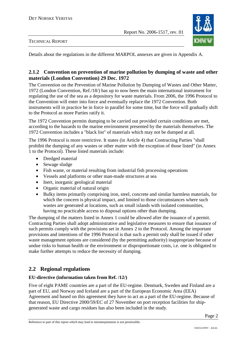



Details about the regulations in the different MARPOL annexes are given in Appendix A.

# **2.1.2 Convention on prevention of marine pollution by dumping of waste and other materials (London Convention) 29 Dec. 1972**

The Convention on the Prevention of Marine Pollution by Dumping of Wastes and Other Matter, 1972 (London Convention, Ref./18/) has up to now been the main international instrument for regulating the use of the sea as a depository for waste materials. From 2006, the 1996 Protocol to the Convention will enter into force and eventually replace the 1972 Convention. Both instruments will in practice be in force in parallel for some time, but the force will gradually shift to the Protocol as more Parties ratify it.

The 1972 Convention permits dumping to be carried out provided certain conditions are met, according to the hazards to the marine environment presented by the materials themselves. The 1972 Convention includes a "black list" of materials which may not be dumped at all.

The 1996 Protocol is more restrictive. It states (in Article 4) that Contracting Parties "shall prohibit the dumping of any wastes or other matter with the exception of those listed" (in Annex 1 to the Protocol). These listed materials include:

- Dredged material
- Sewage sludge
- Fish waste, or material resulting from industrial fish processing operations
- Vessels and platforms or other man-made structures at sea
- Inert, inorganic geological material
- Organic material of natural origin
- Bulky items primarily comprising iron, steel, concrete and similar harmless materials, for which the concern is physical impact, and limited to those circumstances where such wastes are generated at locations, such as small islands with isolated communities, having no practicable access to disposal options other than dumping.

The dumping of the matters listed in Annex 1 could be allowed after the issuance of a permit. Contracting Parties shall adopt administrative and legislative measures to ensure that issuance of such permits comply with the provisions set in Annex 2 to the Protocol. Among the important provisions and intentions of the 1996 Protocol is that such a permit only shall be issued if other waste management options are considered (by the permitting authority) inappropriate because of undue risks to human health or the environment or disproportionate costs, i.e. one is obligated to make further attempts to reduce the necessity of dumping.

# **2.2 Regional regulations**

#### **EU-directive (information taken from Ref. /12/)**

Five of eight PAME countries are a part of the EU-regime. Denmark, Sweden and Finland are a part of EU, and Norway and Iceland are a part of the European Economic Area (EEA) Agreement and based on this agreement they have to act as a part of the EU-regime. Because of that reason, EU Directive 2000/59/EC of 27 November on port reception facilities for shipgenerated waste and cargo residues has also been included in the study.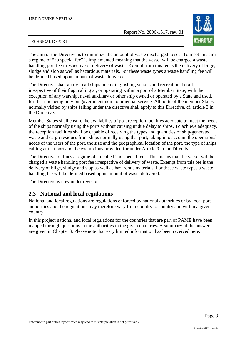

#### TECHNICAL REPORT

The aim of the Directive is to minimize the amount of waste discharged to sea. To meet this aim a regime of "no special fee" is implemented meaning that the vessel will be charged a waste handling port fee irrespective of delivery of waste. Exempt from this fee is the delivery of bilge, sludge and slop as well as hazardous materials. For these waste types a waste handling fee will be defined based upon amount of waste delivered.

The Directive shall apply to all ships, including fishing vessels and recreational craft, irrespective of their flag, calling at, or operating within a port of a Member State, with the exception of any warship, naval auxiliary or other ship owned or operated by a State and used, for the time being only on government non-commercial service. All ports of the member States normally visited by ships falling under the directive shall apply to this Directive, cf. article 3 in the Directive.

Member States shall ensure the availability of port reception facilities adequate to meet the needs of the ships normally using the ports without causing undue delay to ships. To achieve adequacy, the reception facilities shall be capable of receiving the types and quantities of ship-generated waste and cargo residues from ships normally using that port, taking into account the operational needs of the users of the port, the size and the geographical location of the port, the type of ships calling at that port and the exemptions provided for under Article 9 in the Directive.

The Directive outlines a regime of so-called "no special fee". This means that the vessel will be charged a waste handling port fee irrespective of delivery of waste. Exempt from this fee is the delivery of bilge, sludge and slop as well as hazardous materials. For these waste types a waste handling fee will be defined based upon amount of waste delivered.

The Directive is now under revision.

# **2.3 National and local regulations**

National and local regulations are regulations enforced by national authorities or by local port authorities and the regulations may therefore vary from country to country and within a given country.

In this project national and local regulations for the countries that are part of PAME have been mapped through questions to the authorities in the given countries. A summary of the answers are given in Chapter 3. Please note that very limited information has been received here.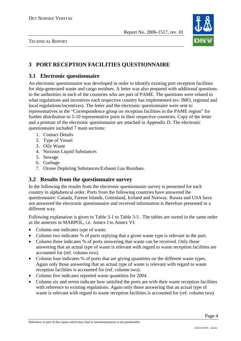

# **3 PORT RECEPTION FACILITIES QUESTIONNAIRE**

# **3.1 Electronic questionnaire**

An electronic questionnaire was developed in order to identify existing port reception facilities for ship-generated waste and cargo residues. A letter was also prepared with additional questions to the authorities in each of the countries who are part of PAME. The questions were related to what regulations and incentives each respective country has implemented (ex. IMO, regional and local regulations/incentives). The letter and the electronic questionnaire were sent to representatives in the "Correspondence group on reception facilities in the PAME region" for further distribution to 5-10 representative ports in their respective countries. Copy of the letter and a printout of the electronic questionnaire are attached in Appendix D. The electronic questionnaire included 7 main sections:

- 1. Contact Details
- 2. Type of Vessel
- 3. Oily Waste
- 4. Noxious Liquid Substances
- 5. Sewage
- 6. Garbage
- 7. Ozone Depleting Substances/Exhaust Gas Residues.

# **3.2 Results from the questionnaire survey**

In the following the results from the electronic questionnaire survey is presented for each country in alphabetical order. Ports from the following countries have answered the questionnaire: Canada, Fareoe Islands, Greenland, Iceland and Norway. Russia and USA have not answered the electronic questionnaire and received information is therefore presented in a different way.

Following explanation is given to Table 3-1 to Table 3-5 . The tables are sorted in the same order as the annexes in MARPOL, i.e. Annex I to Annex VI:

- Column one indicates type of waste.
- Column two indicates % of ports replying that a given waste type is relevant in the port.
- Column three indicates % of ports answering that waste can be received. Only those answering that an actual type of waste is relevant with regard to waste reception facilities are accounted for (ref. column two).
- Column four indicates % of ports that are giving quantities on the different waste types. Again only those answering that an actual type of waste is relevant with regard to waste reception facilities is accounted for (ref. column two).
- Column five indicates reported waste quantities for 2004.
- Column six and seven indicate how satisfied the ports are with their waste reception facilities with reference to existing regulations. Again only those answering that an actual type of waste is relevant with regard to waste reception facilities is accounted for (ref. column two).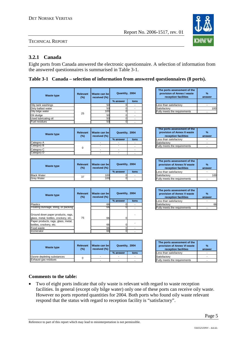# **3.2.1 Canada**

Eight ports from Canada answered the electronic questionnaire. A selection of information from the answered questionnaires is summarised in Table 3-1.

# **Table 3-1 Canada – selection of information from answered questionnaires (8 ports).**

| <b>Waste type</b>    | Relevant<br>$(\%)$ | Waste can be<br>received (%) | Quantity, 2004 |      |
|----------------------|--------------------|------------------------------|----------------|------|
|                      |                    |                              | % answer       | tons |
| Oily tank washings   |                    | 50                           |                |      |
| Dirty ballast water  |                    | 50                           |                |      |
| Oily bilge water     | 25                 | 100                          |                |      |
| Oil sludge           |                    | 50                           |                |      |
| Used lubricating oil |                    | 50                           |                |      |
| Fuel residues        |                    | 50                           |                |      |
|                      |                    |                              |                |      |

| <b>Waste type</b> | <b>Relevant</b><br>(%) | Waste can bell<br>Quantity, 2004<br>received (%) |          | The ports assessment of the<br>provision of Annex II waste<br>reception facilities | о.<br>ans                           |  |
|-------------------|------------------------|--------------------------------------------------|----------|------------------------------------------------------------------------------------|-------------------------------------|--|
|                   |                        |                                                  | % answer | tons                                                                               | Less than satisfactory              |  |
| Category A        |                        |                                                  |          |                                                                                    | Satisfactory                        |  |
| Category B        |                        |                                                  |          |                                                                                    | <b>Fully meets the requirements</b> |  |
| Category C        |                        |                                                  |          |                                                                                    |                                     |  |
| Category D        |                        |                                                  |          |                                                                                    |                                     |  |

| Waste type         | Relevant<br>(%) | I Waste can bell<br>received $(\%)$ | Quantity, 2004 |      | The ports assessment of the<br>provision of Annex IV waste<br>reception facilities | $\frac{9}{6}$<br>answer |
|--------------------|-----------------|-------------------------------------|----------------|------|------------------------------------------------------------------------------------|-------------------------|
|                    |                 |                                     | % answer       | tons | Less than satisfactory                                                             |                         |
| <b>Black Water</b> | 37              | 100                                 |                |      | Satisfactory                                                                       | 10 <sup>c</sup>         |
| <b>Grev Water</b>  | نٽ              | 100                                 |                |      | <b>Fully meets the requirements</b>                                                |                         |

| <b>Waste type</b>                     | <b>Relevant</b><br>$(\%)$ | Waste can be<br>received (%) | Quantity, 2004 |      |
|---------------------------------------|---------------------------|------------------------------|----------------|------|
|                                       |                           |                              | % answer       | tons |
| <b>Plastics</b>                       |                           | 66                           |                |      |
| Floating dunnage, lining, or packing  |                           | 66                           |                |      |
| Ground down paper products, rags,     |                           |                              |                |      |
| glass, metal, bottles, crockery, etc. | 75                        | 66                           |                |      |
| Paper products, rags, glass, metal,   |                           |                              |                |      |
| bottles, crockery, etc.               |                           | 66                           |                |      |
| Food waste                            |                           | 66                           |                |      |
| Incinerator                           |                           | 66                           |                |      |

| Waste type                 | Relevant<br>(%) | . Waste can be l<br>received (%) | Quantity, 2004 |      | The ports assessment of the<br>provision of Annex VI waste<br>reception facilities | ans |
|----------------------------|-----------------|----------------------------------|----------------|------|------------------------------------------------------------------------------------|-----|
|                            |                 |                                  | % answer       | tons | Less than satisfactory                                                             |     |
| Ozone depleting substances |                 |                                  |                |      | Satisfactory                                                                       |     |
| Exhaust gas residues       |                 |                                  |                |      | <b>Fully meets the requirements</b>                                                |     |

| The ports assessment of the<br>provision of Annex I waste<br>reception facilities | %<br>answer |
|-----------------------------------------------------------------------------------|-------------|
| Less than satisfactory                                                            |             |
| Satisfactory                                                                      |             |
| ully meets the requirements                                                       |             |

| Quantity, 2004 |      | The ports assessment of the<br>provision of Annex II waste<br>reception facilities | %<br>answer |
|----------------|------|------------------------------------------------------------------------------------|-------------|
| % answer       | tons | Less than satisfactory                                                             |             |
|                |      | Satisfactory                                                                       |             |
| ۰              |      | Fully meets the requirements                                                       |             |

| Quantity, 2004 |      | The ports assessment of the<br>provision of Annex IV waste<br>reception facilities | %<br>answer |  |
|----------------|------|------------------------------------------------------------------------------------|-------------|--|
| % answer       | tons | Less than satisfactory                                                             |             |  |
|                |      | Satisfactory                                                                       |             |  |
|                |      | Fully meets the requirements                                                       |             |  |

| Quantity, 2004 |      | The ports assessment of the<br>provision of Annex V waste<br>reception facilities | %<br>answer |
|----------------|------|-----------------------------------------------------------------------------------|-------------|
| % answer       | tons | Less than satisfactory                                                            |             |
|                |      | Satisfactory                                                                      |             |
|                |      | Fully meets the requirements                                                      |             |

| Quantity, 2004 |      | The ports assessment of the<br>provision of Annex VI waste<br>reception facilities | %<br>answer |
|----------------|------|------------------------------------------------------------------------------------|-------------|
| % answer       | tons | Less than satisfactory                                                             |             |
|                |      | Satisfactory                                                                       |             |
|                |      | Fully meets the requirements                                                       |             |

# **Comments to the table:**

• Two of eight ports indicate that oily waste is relevant with regard to waste reception facilities. In general (except oily bilge water) only one of these ports can receive oily waste. However no ports reported quantities for 2004. Both ports who found oily waste relevant respond that the status with regard to reception facility is "satisfactory".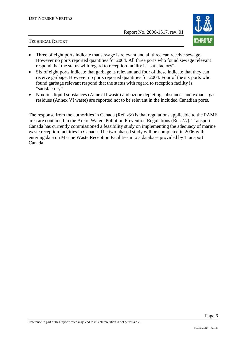

- Three of eight ports indicate that sewage is relevant and all three can receive sewage. However no ports reported quantities for 2004. All three ports who found sewage relevant respond that the status with regard to reception facility is "satisfactory".
- Six of eight ports indicate that garbage is relevant and four of these indicate that they can receive garbage. However no ports reported quantities for 2004. Four of the six ports who found garbage relevant respond that the status with regard to reception facility is "satisfactory".
- Noxious liquid substances (Annex II waste) and ozone depleting substances and exhaust gas residues (Annex VI waste) are reported not to be relevant in the included Canadian ports.

The response from the authorities in Canada (Ref. /6/) is that regulations applicable to the PAME area are contained in the Arctic Waters Pollution Prevention Regulations (Ref. /7/). Transport Canada has currently commissioned a feasibility study on implementing the adequacy of marine waste reception facilities in Canada. The two phased study will be completed in 2006 with entering data on Marine Waste Reception Facilities into a database provided by Transport Canada.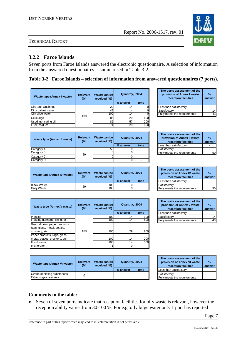# **3.2.2 Faroe Islands**

Seven ports from Faroe Islands answered the electronic questionnaire. A selection of information from the answered questionnaires is summarised in Table 3-2.

# **Table 3-2 Faroe Islands – selection of information from answered questionnaires (7 ports).**

| Waste type (Annex I waste) | <b>Relevant</b><br>$(\%)$ | Waste can bel<br>received (%) | Quantity, 2004 |      | The ports assessment of the<br>provision of Annex I waste<br>reception facilities | $\frac{9}{6}$<br>answer |
|----------------------------|---------------------------|-------------------------------|----------------|------|-----------------------------------------------------------------------------------|-------------------------|
|                            |                           |                               | % answer       | tons |                                                                                   |                         |
| Oily tank washings         |                           | 29                            |                |      | Less than satisfactory                                                            |                         |
| Dirty ballast water        |                           |                               |                |      | Satisfactory                                                                      | 14                      |
| Oily bilge water           |                           | 100                           | 4              |      | Fully meets the requirements                                                      | 43                      |
| Oil sludge                 | 100                       | 86                            | 29             | 100  |                                                                                   |                         |
| Used lubricating oil       |                           | 86                            | 57             | 200  |                                                                                   |                         |
| Fuel residues              |                           |                               | 29             | 100  |                                                                                   |                         |

| Waste type (Annex II waste) | <b>Relevant</b><br>(%) | Waste can bel<br>received (%) | Quantity, 2004 |      | The ports assessment of the<br>provision of Annex II waste<br>reception facilities | $\frac{9}{6}$<br>answer |
|-----------------------------|------------------------|-------------------------------|----------------|------|------------------------------------------------------------------------------------|-------------------------|
|                             |                        |                               | % answer       | tons | Less than satisfactory                                                             |                         |
| Category A                  |                        | 50                            |                |      | Satisfactory                                                                       |                         |
| Category B                  |                        |                               |                |      | Fully meets the requirements                                                       | 50                      |
| Category C                  | 29                     |                               |                |      |                                                                                    |                         |
| <b>Category D</b>           |                        |                               |                |      |                                                                                    |                         |

| Waste type (Annex IV waste) | <b>Relevant</b><br>(%) | Waste can be<br>received (%) | Quantity, 2004 |      | The ports assessment of the<br>provision of Annex IV waste<br>reception facilities | $\frac{9}{6}$<br>answer |
|-----------------------------|------------------------|------------------------------|----------------|------|------------------------------------------------------------------------------------|-------------------------|
|                             |                        |                              | % answer       | tons | Less than satisfactory                                                             |                         |
| <b>Black Water</b>          | 29                     | 100                          |                |      | Satisfactory                                                                       |                         |
| Grev Water                  |                        | 100                          |                |      | <b>Fully meets the requirements</b>                                                | 50                      |

| Waste type (Annex V waste)     | <b>Relevant</b><br>$(\%)$ | Waste can be<br>received (%) | Quantity, 2004 |             | The ports assessment of the<br>provision of Annex V waste<br>reception facilities | $\frac{9}{6}$<br>answer |
|--------------------------------|---------------------------|------------------------------|----------------|-------------|-----------------------------------------------------------------------------------|-------------------------|
|                                |                           |                              | % answer       | tons        | Less than satisfactory                                                            |                         |
| <b>Plastics</b>                |                           | 100                          |                | <b>100I</b> | Satisfactory                                                                      | 14                      |
| Floating dunnage, lining, or   |                           | 100                          | 4              | 500         | <b>Fully meets the requirements</b>                                               | 43                      |
| Ground down paper products,    |                           |                              |                |             |                                                                                   |                         |
| rags, glass, metal, bottles,   |                           |                              |                |             |                                                                                   |                         |
| crockery, etc.                 | 100                       | 100                          | 29             | 200         |                                                                                   |                         |
| Paper products, rags, glass,   |                           |                              |                |             |                                                                                   |                         |
| metal, bottles, crockery, etc. |                           | 100                          | 14             | 200         |                                                                                   |                         |
| Food waste                     |                           | 100                          | 4              | 300         |                                                                                   |                         |
| Incinerator                    |                           |                              |                |             |                                                                                   |                         |

| Waste type (Annex VI waste)       | <b>Relevant</b><br>(%) | . Waste can be l<br>received (%) | Quantity, 2004 |      | The ports assessment of the<br>provision of Annex VI waste<br>reception facilities | $\mathbf{0}$<br>ans |
|-----------------------------------|------------------------|----------------------------------|----------------|------|------------------------------------------------------------------------------------|---------------------|
|                                   |                        |                                  | % answer       | tons | <b>Less than satisfactory</b>                                                      |                     |
| <b>Ozone depleting substances</b> |                        |                                  |                |      | <b>ISatisfactory</b>                                                               |                     |
| Exhaust gas residues              |                        |                                  |                |      | <b>Fully meets the requirements</b>                                                |                     |

| provision of Annex I waste<br>reception facilities | %<br>answer |
|----------------------------------------------------|-------------|
|                                                    |             |
| Less than satisfactory                             |             |
| Satisfactory                                       |             |
| Fully meets the requirements                       |             |
|                                                    |             |

| Quantity, 2004 |      | The ports assessment of the<br>provision of Annex II waste<br>reception facilities | $\frac{9}{6}$<br>answer |
|----------------|------|------------------------------------------------------------------------------------|-------------------------|
| % answer       | tons | Less than satisfactory                                                             |                         |
|                |      | Satisfactory                                                                       |                         |
|                |      | Fully meets the requirements                                                       |                         |

| Quantity, 2004 |      | The ports assessment of the<br>provision of Annex IV waste<br>reception facilities | %<br>answer |
|----------------|------|------------------------------------------------------------------------------------|-------------|
| % answer       | tons | Less than satisfactory                                                             |             |
|                |      | Satisfactory                                                                       |             |
|                |      | Fully meets the requirements                                                       |             |

| Quantity, 2004 |      | The ports assessment of the<br>provision of Annex V waste<br>reception facilities | $\frac{9}{6}$<br>answer |
|----------------|------|-----------------------------------------------------------------------------------|-------------------------|
| % answer       | tons | Less than satisfactory                                                            |                         |
|                | 100  | Satisfactory                                                                      |                         |
|                |      | Fully meets the requirements                                                      |                         |

| Quantity, 2004 |      | The ports assessment of the<br>provision of Annex VI waste<br>reception facilities | $\frac{9}{6}$<br>answer |
|----------------|------|------------------------------------------------------------------------------------|-------------------------|
| % answer       | tons | Less than satisfactory                                                             |                         |
|                |      | Satisfactory                                                                       |                         |
|                |      | Fully meets the requirements                                                       |                         |

#### **Comments to the table:**

• Seven of seven ports indicate that reception facilities for oily waste is relevant, however the reception ability varies from 30-100 %. For e.g. oily bilge water only 1 port has reported



┓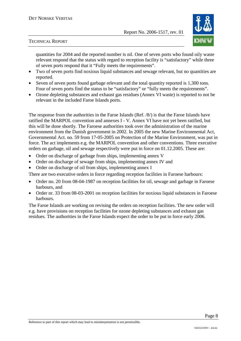

quantities for 2004 and the reported number is nil. One of seven ports who found oily waste relevant respond that the status with regard to reception facility is "satisfactory" while three of seven ports respond that it "Fully meets the requirements".

- Two of seven ports find noxious liquid substances and sewage relevant, but no quantities are reported.
- Seven of seven ports found garbage relevant and the total quantity reported is 1,300 tons. Four of seven ports find the status to be "satisfactory" or "fully meets the requirements".
- Ozone depleting substances and exhaust gas residues (Annex VI waste) is reported to not be relevant in the included Faroe Islands ports.

The response from the authorities in the Faroe Islands (Ref. /8/) is that the Faroe Islands have ratified the MARPOL convention and annexes I - V. Annex VI have not yet been ratified, but this will be done shortly. The Faroese authorities took over the administration of the marine environment from the Danish government in 2002. In 2005 the new Marine Environmental Act, Governmental Act. no. 59 from 17-05-2005 on Protection of the Marine Environment, was put in force. The act implements e.g. the MARPOL convention and other conventions. Three executive orders on garbage, oil and sewage respectively were put in force on 01.12.2005. These are:

- Order on discharge of garbage from ships, implementing annex V
- Order on discharge of sewage from ships, implementing annex IV and
- Order on discharge of oil from ships, implementing annex I

There are two executive orders in force regarding reception facilities in Faroese harbours:

- Order no. 20 from 08-04-1987 on reception facilities for oil, sewage and garbage in Faroese harbours, and
- Order nr. 33 from 08-03-2001 on reception facilities for noxious liquid substances in Faroese harbours.

The Faroe Islands are working on revising the orders on reception facilities. The new order will e.g. have provisions on reception facilities for ozone depleting substances and exhaust gas residues. The authorities in the Faroe Islands expect the order to be put in force early 2006.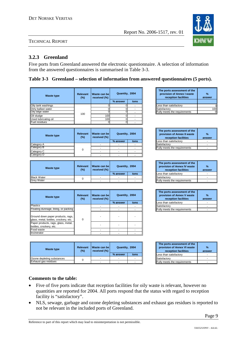# **3.2.3 Greenland**

Five ports from Greenland answered the electronic questionnaire. A selection of information from the answered questionnaires is summarised in Table 3-3.

# **Table 3-3 Greenland – selection of information from answered questionnaires (5 ports).**

| <b>Waste type</b>        | <b>Relevant</b><br>$(\%)$ | Waste can be<br>received (%) | Quantity, 2004           |      | The ports assessment of the<br>provision of Annex I waste<br>reception facilities | $\frac{9}{6}$<br>answer |
|--------------------------|---------------------------|------------------------------|--------------------------|------|-----------------------------------------------------------------------------------|-------------------------|
|                          |                           |                              | % answer                 | tons |                                                                                   |                         |
| Oily tank washings       |                           |                              |                          |      | Less than satisfactory                                                            |                         |
| Dirty ballast water      |                           | ſ                            |                          |      | Satisfactory                                                                      |                         |
| Oily bilge water         |                           | U                            |                          |      | Fully meets the requirements                                                      |                         |
| Oil sludge               | 100                       | 100                          |                          |      |                                                                                   |                         |
| Used lubricating oil     |                           | 100                          | ი                        |      |                                                                                   |                         |
| Fuel residues            |                           | ŋ                            | റി                       |      |                                                                                   |                         |
|                          |                           |                              |                          |      |                                                                                   |                         |
|                          | <b>Relevant</b>           | Waste can be                 |                          |      | The ports assessment of the                                                       |                         |
| <b>Waste type</b><br>(%) |                           |                              | Quantity, 2004           |      | provision of Annex II waste                                                       | $\frac{9}{6}$           |
|                          |                           | received (%)                 |                          |      | reception facilities                                                              | answer                  |
|                          |                           |                              | % answer                 | tons | ess than satisfactory                                                             |                         |
| Category A               |                           |                              |                          |      | Satisfactory                                                                      |                         |
| Category B               | $\mathbf 0$               |                              |                          |      | Fully meets the requirements                                                      |                         |
| Category C               |                           |                              | $\overline{\phantom{a}}$ |      |                                                                                   |                         |
| Category D               |                           |                              |                          |      |                                                                                   |                         |
|                          |                           |                              |                          |      | The ports assessment of the                                                       |                         |
| <b>Waste type</b>        | <b>Relevant</b>           | Waste can be                 | Quantity, 2004           |      | provision of Annex IV waste                                                       | $\frac{9}{6}$           |
|                          | $(\%)$                    | received (%)                 |                          |      | reception facilities                                                              | answer                  |
|                          |                           |                              | % answer                 | tons | Less than satisfactory                                                            |                         |
| <b>Black Water</b>       | 0                         | ٠                            |                          | ٠    | Satisfactory                                                                      | ٠                       |
| <b>Grey Water</b>        |                           |                              |                          | ٠    | Fully meets the requirements                                                      |                         |
|                          |                           |                              |                          |      |                                                                                   |                         |
| <b>Waste type</b>        | <b>Relevant</b>           | Waste can be                 | Quantity, 2004           |      | The ports assessment of the<br>provision of Annex V waste                         | %                       |

| <b>Waste type</b>                                                          | <b>Relevant</b><br>$(\%)$ | Waste can bel<br>received (%) | Quantity, 2004 |      | provision of Annex V waste<br>reception facilities | ans |
|----------------------------------------------------------------------------|---------------------------|-------------------------------|----------------|------|----------------------------------------------------|-----|
|                                                                            |                           |                               | % answer       | tons | Less than satisfactory                             |     |
| <b>Plastics</b>                                                            |                           |                               |                |      | Satisfactory                                       |     |
| Floating dunnage, lining, or packing                                       |                           |                               |                |      | <b>Fully meets the requirements</b>                |     |
| Ground down paper products, rags,<br>glass, metal, bottles, crockery, etc. | $\Omega$                  |                               |                |      |                                                    |     |
| Paper products, rags, glass, metal,<br>bottles, crockery, etc.             |                           |                               |                |      |                                                    |     |
| Food waste                                                                 |                           |                               |                |      |                                                    |     |
| Incinerator                                                                |                           |                               |                |      |                                                    |     |

| Waste type                        | Relevant<br>$(\%)$ | Waste can be<br>received (%) | Quantity, 2004 |      | The ports assessment of the<br>provision of Annex VI waste<br>reception facilities | $\mathbf{o}$<br>ans |
|-----------------------------------|--------------------|------------------------------|----------------|------|------------------------------------------------------------------------------------|---------------------|
|                                   |                    |                              | % answer       | tons | Less than satisfactory                                                             |                     |
| <b>Ozone depleting substances</b> |                    |                              |                |      | Satisfactory                                                                       |                     |
| Exhaust gas residues              |                    |                              |                |      | <b>Fully meets the requirements</b>                                                |                     |

| The ports assessment of the<br>provision of Annex I waste<br>reception facilities | %<br>answer |
|-----------------------------------------------------------------------------------|-------------|
| Less than satisfactory                                                            |             |
| Satisfactory                                                                      |             |
| Fully meets the requirements                                                      |             |

| Quantity, 2004 |      | The ports assessment of the<br>provision of Annex II waste<br>reception facilities | %<br>answer |
|----------------|------|------------------------------------------------------------------------------------|-------------|
| % answer       | tons | Less than satisfactory                                                             |             |
|                |      | Satisfactory                                                                       |             |
|                |      | Fully meets the requirements                                                       |             |

| Quantity, 2004 |      | The ports assessment of the<br>provision of Annex IV waste<br>reception facilities | %<br>answer |
|----------------|------|------------------------------------------------------------------------------------|-------------|
| % answer       | tons | Less than satisfactory                                                             |             |
|                |      | Satisfactory                                                                       |             |
|                |      | <b>Fully meets the requirements</b>                                                |             |

| Quantity, 2004 |      |                              | The ports assessment of the<br>provision of Annex V waste<br>reception facilities | %<br>answer |
|----------------|------|------------------------------|-----------------------------------------------------------------------------------|-------------|
| % answer       | tons |                              | Less than satisfactory                                                            |             |
|                |      |                              | Satisfactory                                                                      |             |
|                |      | Fully meets the requirements |                                                                                   |             |

| Quantity, 2004 |      | The ports assessment of the<br>provision of Annex VI waste<br>reception facilities | %<br>answer |
|----------------|------|------------------------------------------------------------------------------------|-------------|
| % answer       | tons | Less than satisfactory                                                             |             |
| ٠              |      | Satisfactory                                                                       |             |
|                |      | <b>Fully meets the requirements</b>                                                |             |

### **Comments to the table:**

- Five of five ports indicate that reception facilities for oily waste is relevant, however no quantities are reported for 2004. All ports respond that the status with regard to reception facility is "satisfactory".
- NLS, sewage, garbage and ozone depleting substances and exhaust gas residues is reported to not be relevant in the included ports of Greenland.

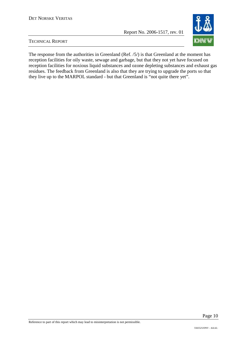

TECHNICAL REPORT

The response from the authorities in Greenland (Ref. /5/) is that Greenland at the moment has reception facilities for oily waste, sewage and garbage, but that they not yet have focused on reception facilities for noxious liquid substances and ozone depleting substances and exhaust gas residues. The feedback from Greenland is also that they are trying to upgrade the ports so that they live up to the MARPOL standard - but that Greenland is "not quite there yet".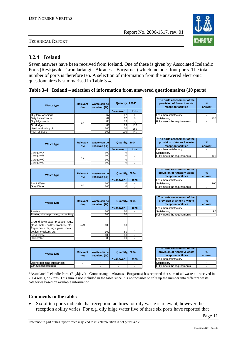

# **3.2.4 Iceland**

Seven answers have been received from Iceland. One of these is given by Associated Icelandic Ports (Reykjavík - Grundartangi - Akranes – Borgarnes) which includes four ports. The total number of ports is therefore ten. A selection of information from the answered electronic questionnaires is summarised in Table 3-4.

#### **Table 3-4 Iceland – selection of information from answered questionnaires (10 ports).**

| <b>Waste type</b>    | <b>Relevant</b><br>$(\%)$ | Waste can be<br>received (%) | Quantity, 2004* |          |
|----------------------|---------------------------|------------------------------|-----------------|----------|
|                      |                           |                              | % answer        | tons     |
| Oily tank washings   |                           | 67                           | 67              | $\Omega$ |
| Dirty ballast water  |                           | 67                           | 67              | $\Omega$ |
| Oily bilge water     | 60                        | 83                           | 83              | 73       |
| Oil sludge           |                           | 83                           | 83              | 110      |
| Used lubricating oil |                           | 100                          | 100             | 160      |
| Fuel residues        |                           | 100                          | 100             | 115      |
|                      |                           |                              |                 |          |
| <b>Waste type</b>    | Relevant<br>$(\%)$        | Waste can be<br>received (%) | Quantity, 2004  |          |
|                      |                           |                              | % answer        | tons     |
| Category A           |                           | 100                          |                 |          |
| Category B           | 40                        | 100                          |                 |          |
| Category C           |                           | 100                          |                 |          |
| Category D           |                           | 100                          |                 |          |

| <b>Waste type</b>  | Relevant<br>$(\%)$ | Waste can bell<br>received (%) | Quantity, 2004 |      |                                     |     |  |  | The ports assessment of the<br>provision of Annex IV waste<br>reception facilities | $\%$<br>answer |
|--------------------|--------------------|--------------------------------|----------------|------|-------------------------------------|-----|--|--|------------------------------------------------------------------------------------|----------------|
|                    |                    |                                | % answer       | tons | Less than satisfactory              |     |  |  |                                                                                    |                |
| <b>Black Water</b> | 40                 | 100l                           |                |      | Satisfactory                        | 100 |  |  |                                                                                    |                |
| <b>Grev Water</b>  |                    | 100l                           |                |      | <b>Fully meets the requirements</b> |     |  |  |                                                                                    |                |

Category D 100 0 -

| <b>Waste type</b>                                                           | Relevant<br>(%) | Waste can be<br>received (%) | Quantity, 2004 |      | The ports assessment of the<br>provision of Annex V waste<br>reception facilities |
|-----------------------------------------------------------------------------|-----------------|------------------------------|----------------|------|-----------------------------------------------------------------------------------|
|                                                                             |                 |                              | % answer       | tons | Less than satisfactory                                                            |
| <b>Plastics</b>                                                             |                 | 100                          | 60             |      | Satisfactory                                                                      |
| Floating dunnage, lining, or packing                                        |                 | 100                          | 60             |      | Fully meets the requirements                                                      |
| Ground down paper products, rags,<br>lglass, metal, bottles, crockery, etc. | 100             | 100                          | 60             |      |                                                                                   |
| Paper products, rags, glass, metal,<br>bottles, crockery, etc.              |                 | 100<br>100                   | 60<br>60       |      |                                                                                   |
| Food waste<br>Incinerator                                                   |                 | 80                           | 60             |      |                                                                                   |

| <b>Waste type</b>          | Relevant<br>(%) | I Waste can be l<br>received (%) | Quantity, 2004 |      | The ports assessment of the<br>provision of Annex VI waste<br>reception facilities | ans |
|----------------------------|-----------------|----------------------------------|----------------|------|------------------------------------------------------------------------------------|-----|
|                            |                 |                                  | % answer       | tons | Less than satisfactory                                                             |     |
| Ozone depleting substances |                 |                                  |                |      | Satisfactory                                                                       |     |
| Exhaust gas residues       |                 |                                  |                |      | <b>Fully meets the requirements</b>                                                |     |

| The ports assessment of the<br>provision of Annex I waste<br>reception facilities | %<br>answer |
|-----------------------------------------------------------------------------------|-------------|
| Less than satisfactory                                                            |             |
| Satisfactory                                                                      | 10          |
| Fully meets the requirements                                                      |             |

| Quantity, 2004 |      | The ports assessment of the<br>provision of Annex II waste<br>reception facilities | %<br>answer |
|----------------|------|------------------------------------------------------------------------------------|-------------|
| % answer       | tons | Less than satisfactory                                                             |             |
|                |      | Satisfactory                                                                       |             |
|                |      | <b>Fully meets the requirements</b>                                                |             |

|          | Quantity, 2004 |  | The ports assessment of the<br>provision of Annex IV waste<br>reception facilities | %<br>answer |
|----------|----------------|--|------------------------------------------------------------------------------------|-------------|
| % answer | tons           |  | Less than satisfactory                                                             |             |
|          |                |  | Satisfactory                                                                       |             |
|          |                |  | <b>Fully meets the requirements</b>                                                |             |

| Quantity, 2004 |      | The ports assessment of the<br>provision of Annex V waste<br>reception facilities | %<br>answer |
|----------------|------|-----------------------------------------------------------------------------------|-------------|
| % answer       | tons | Less than satisfactory                                                            |             |
| 60             |      | Satisfactory                                                                      |             |
|                |      | <b>Fully meets the requirements</b>                                               |             |

| Quantity, 2004 |      | The ports assessment of the<br>provision of Annex VI waste<br>reception facilities | $\frac{9}{6}$<br>answer |
|----------------|------|------------------------------------------------------------------------------------|-------------------------|
| % answer       | tons | Less than satisfactory                                                             |                         |
|                |      | <b>Satisfactory</b>                                                                |                         |
|                |      | <b>Fully meets the requirements</b>                                                |                         |

\*Associated Icelandic Ports (Reykjavík - Grundartangi - Akranes - Borgarnes) has reported that sum of all waste oil received in 2004 was 1,773 tons. This sum is not included in the table since it is not possible to split up the number into different waste categories based on available information.

#### **Comments to the table:**

• Six of ten ports indicate that reception facilities for oily waste is relevant, however the reception ability varies. For e.g. oily bilge water five of these six ports have reported that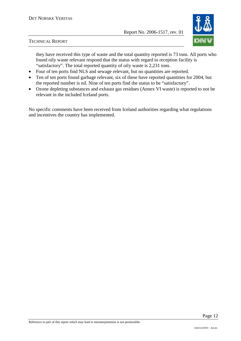

they have received this type of waste and the total quantity reported is 73 tons. All ports who found oily waste relevant respond that the status with regard to reception facility is "satisfactory". The total reported quantity of oily waste is 2,231 tons.

- Four of ten ports find NLS and sewage relevant, but no quantities are reported.
- Ten of ten ports found garbage relevant, six of these have reported quantities for 2004, but the reported number is nil. Nine of ten ports find the status to be "satisfactory".
- Ozone depleting substances and exhaust gas residues (Annex VI waste) is reported to not be relevant in the included Iceland ports.

No specific comments have been received from Iceland authorities regarding what regulations and incentives the country has implemented.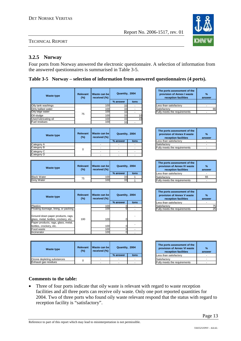# **3.2.5 Norway**

Four ports from Norway answered the electronic questionnaire. A selection of information from the answered questionnaires is summarised in Table 3-5.

# **Table 3-5 Norway – selection of information from answered questionnaires (4 ports).**

| <b>Waste type</b>    | <b>Relevant</b><br>(%) | Waste can bel<br>received (%) | Quantity, 2004 |      |
|----------------------|------------------------|-------------------------------|----------------|------|
|                      |                        |                               | % answer       | tons |
| Oily tank washings   |                        | 100                           | 33             |      |
| Dirty ballast water  |                        | 100                           | 33             |      |
| Oily bilge water     | 75                     | 100                           | 33             |      |
| Oil sludge           |                        | 100                           | 33             |      |
| Used lubricating oil |                        | 100                           | 33             |      |
| Fuel residues        |                        | 100                           | 33             |      |

| <b>Waste type</b> | Relevant<br>(%) | Waste can bell<br>received $(\%)$ | Quantity, 2004 |      | The ports assessment of the<br>provision of Annex II waste<br>reception facilities | ans |
|-------------------|-----------------|-----------------------------------|----------------|------|------------------------------------------------------------------------------------|-----|
|                   |                 |                                   | % answer       | tons | Less than satisfactory                                                             |     |
| Category A        |                 |                                   |                |      | Satisfactory                                                                       |     |
| Category B        |                 |                                   |                |      | Fully meets the requirements                                                       |     |
| Category C        | 0               |                                   |                |      |                                                                                    |     |
| Category D        |                 |                                   |                |      |                                                                                    |     |

| Waste type         | Relevant<br>$(\% )$ | Waste can bell<br>received (%) | Quantity, 2004 |      | The ports assessment of the<br>provision of Annex IV waste<br>reception facilities | %<br>ansy |
|--------------------|---------------------|--------------------------------|----------------|------|------------------------------------------------------------------------------------|-----------|
|                    |                     |                                | % answer       | tons | Less than satisfactory                                                             |           |
| <b>Black Water</b> | 75                  | 100                            | 33             |      | Satisfactory                                                                       | 66        |
| <b>Grev Water</b>  |                     | 100                            | 33             |      | <b>Fully meets the requirements</b>                                                |           |

| <b>Waste type</b>                                                            | <b>Relevant</b><br>(%) | Waste can be<br>received (%) | Quantity, 2004 |      |
|------------------------------------------------------------------------------|------------------------|------------------------------|----------------|------|
|                                                                              |                        |                              | % answer       | tons |
| <b>Plastics</b>                                                              |                        | 100                          |                |      |
| Floating dunnage, lining, or packing                                         |                        | 100                          |                |      |
| Ground down paper products, rags,<br>glass, metal, bottles, crockery, etc.   | 100                    | 100                          |                |      |
| Paper products, rags, glass, metal,<br>bottles, crockery, etc.<br>Food waste |                        | 100<br>100                   |                |      |
| Incinerator                                                                  |                        | 100                          |                |      |

| <b>Waste type</b>          | Relevant<br>(%) | I Waste can be l<br>received (%) | Quantity, 2004 |      | The ports assessment of the<br>provision of Annex VI waste<br>reception facilities | ans |
|----------------------------|-----------------|----------------------------------|----------------|------|------------------------------------------------------------------------------------|-----|
|                            |                 |                                  | % answer       | tons | Less than satisfactory                                                             |     |
| Ozone depleting substances |                 |                                  |                |      | Satisfactory                                                                       |     |
| Exhaust gas residues       |                 |                                  |                |      | <b>Fully meets the requirements</b>                                                |     |

| The ports assessment of the<br>provision of Annex I waste<br>reception facilities | %<br>answer |
|-----------------------------------------------------------------------------------|-------------|
| Less than satisfactory                                                            |             |
| Satisfactory                                                                      |             |
| ully meets the requirements                                                       |             |

| Quantity, 2004 |      | The ports assessment of the<br>provision of Annex II waste<br>reception facilities | %<br>answer |
|----------------|------|------------------------------------------------------------------------------------|-------------|
| % answer       | tons | Less than satisfactory                                                             |             |
|                |      | Satisfactory                                                                       |             |
|                |      | Fully meets the requirements                                                       |             |

| Quantity, 2004 |      | The ports assessment of the<br>provision of Annex IV waste<br>reception facilities | %<br>answer |
|----------------|------|------------------------------------------------------------------------------------|-------------|
| % answer       | tons | Less than satisfactory                                                             |             |
| 33             |      | Satisfactory                                                                       | 66          |
| วว             |      | Fully meets the requirements                                                       |             |

| Quantity, 2004 |      | The ports assessment of the<br>provision of Annex V waste<br>reception facilities | %<br>answer |
|----------------|------|-----------------------------------------------------------------------------------|-------------|
| % answer       | tons | Less than satisfactory                                                            |             |
|                |      | Satisfactory                                                                      |             |
|                |      | Fully meets the requirements                                                      | 25          |

| Quantity, 2004 |      | The ports assessment of the<br>provision of Annex VI waste<br>reception facilities | $\%$<br>answer |
|----------------|------|------------------------------------------------------------------------------------|----------------|
| % answer       | tons | Less than satisfactory                                                             |                |
|                |      | Satisfactory                                                                       |                |
|                |      | Fully meets the requirements                                                       |                |

#### **Comments to the table:**

• Three of four ports indicate that oily waste is relevant with regard to waste reception facilities and all three ports can receive oily waste. Only one port reported quantities for 2004. Two of three ports who found oily waste relevant respond that the status with regard to reception facility is "satisfactory".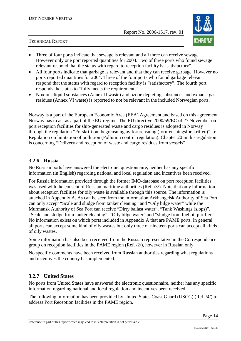

- Three of four ports indicate that sewage is relevant and all three can receive sewage. However only one port reported quantities for 2004. Two of three ports who found sewage relevant respond that the status with regard to reception facility is "satisfactory".
- All four ports indicate that garbage is relevant and that they can receive garbage. However no ports reported quantities for 2004. Three of the four ports who found garbage relevant respond that the status with regard to reception facility is "satisfactory". The fourth port responds the status to "fully meets the requirements".
- Noxious liquid substances (Annex II waste) and ozone depleting substances and exhaust gas residues (Annex VI waste) is reported to not be relevant in the included Norwegian ports.

Norway is a part of the European Economic Area (EEA) Agreement and based on this agreement Norway has to act as a part of the EU-regime. The EU directive 2000/59/EC of 27 November on port reception facilities for ship-generated waste and cargo residues is adopted in Norway through the regulation "Forskrift om begrensning av forurensning (forurensningsforskriften)" i.e. Regulation on limitation of pollution (Pollution control regulation). Chapter 20 in this regulation is concerning "Delivery and reception of waste and cargo residues from vessels".

## **3.2.6 Russia**

No Russian ports have answered the electronic questionnaire, neither has any specific information (in English) regarding national and local regulation and incentives been received.

For Russia information provided through the former IMO-database on port reception facilities was used with the consent of Russian maritime authorities (Ref. /3/). Note that only information about reception facilities for oily waste is available through this source. The information is attached in Appendix A. As can be seen from the information Arkhangelsk Authority of Sea Port can only accept "Scale and sludge from tanker cleaning" and "Oily bilge water" while the Murmansk Authority of Sea Port can receive "Dirty ballast water", "Tank Washings (slops)", "Scale and sludge from tanker cleaning", "Oily bilge water" and "sludge from fuel oil purifier". No information exists on which ports included in Appendix A that are PAME ports. In general all ports can accept some kind of oily wastes but only three of nineteen ports can accept all kinds of oily wastes.

Some information has also been received from the Russian representative in the Correspondence group on reception facilities in the PAME region (Ref. /2/), however in Russian only.

No specific comments have been received from Russian authorities regarding what regulations and incentives the country has implemented.

# **3.2.7 United States**

No ports from United States have answered the electronic questionnaire, neither has any specific information regarding national and local regulation and incentives been received.

The following information has been provided by United States Coast Guard (USCG) (Ref. /4/) to address Port Reception facilities in the PAME region.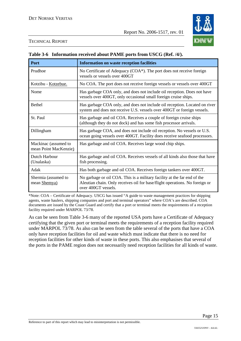

|                                               | <b>Table 5-0 - Throi mation Tech ved about I Alvill polits from OSCO (Ket. 77).</b>                                                                                            |
|-----------------------------------------------|--------------------------------------------------------------------------------------------------------------------------------------------------------------------------------|
| Port                                          | <b>Information on waste reception facilities</b>                                                                                                                               |
| Prudhoe                                       | No Certificate of Adequacy (COA*). The port does not receive foreign<br>vessels or vessels over 400GT                                                                          |
| Kotzibu - Kotzebue.                           | No COA. The port does not receive foreign vessels or vessels over 400GT                                                                                                        |
| Nome                                          | Has garbage COA only, and does not include oil reception. Does not have<br>vessels over 400GT, only occasional small foreign cruise ships.                                     |
| <b>Bethel</b>                                 | Has garbage COA only, and does not include oil reception. Located on river<br>system and does not receive U.S. vessels over 400GT or foreign vessels.                          |
| St. Paul                                      | Has garbage and oil COA. Receives a couple of foreign cruise ships<br>(although they do not dock) and has some fish processor arrivals.                                        |
| Dillingham                                    | Has garbage COA, and does not include oil reception. No vessels or U.S.<br>ocean going vessels over 400GT. Facility does receive seafood processors.                           |
| Mackinac (assumed to<br>mean Point MacKenzie) | Has garbage and oil COA. Receives large wood chip ships.                                                                                                                       |
| Dutch Harbour<br>(Unalaska)                   | Has garbage and oil COA. Receives vessels of all kinds also those that have<br>fish processing.                                                                                |
| Adak                                          | Has both garbage and oil COA. Receives foreign tankers over 400GT.                                                                                                             |
| Shermia (assumed to<br>mean Shemya)           | No garbage or oil COA. This is a military facility at the far end of the<br>Aleutian chain. Only receives oil for base/flight operations. No foreign or<br>over 400GT vessels. |

# **Table 3-6 Information received about PAME ports from USCG (Ref. /4/).**

\*Note: COA – Certificate of Adequacy. USCG has issued "A guide to waste management practices for shipping agents, waste haulers, shipping companies and port and terminal operators" where COA's are described. COA documents are issued by the Coast Guard and certify that a port or terminal meets the requirements of a reception facility required under MARPOL 73/78.

As can be seen from Table 3-6 many of the reported USA ports have a Certificate of Adequacy certifying that the given port or terminal meets the requirements of a reception facility required under MARPOL 73/78. As also can be seen from the table several of the ports that have a COA only have reception facilities for oil and waste which must indicate that there is no need for reception facilities for other kinds of waste in these ports. This also emphasises that several of the ports in the PAME region does not necessarily need reception facilities for all kinds of waste.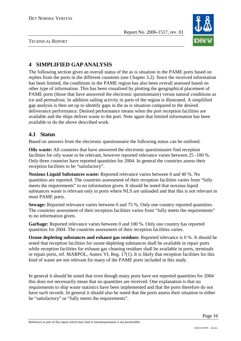

TECHNICAL REPORT

# **4 SIMPLIFIED GAP ANALYSIS**

The following section gives an overall status of the as is situation in the PAME ports based on replies from the ports in the different countries (see Chapter 3.2). Since the received information has been limited, the conditions in the PAME region has also been overall assessed based on other type of information. This has been visualised by plotting the geographical placement of PAME ports (those that have answered the electronic questionnaire) versus natural conditions as ice and permafrost. In addition sailing activity in parts of the region is illustrated. A simplified gap analysis is then set up to identify gaps in the as is situation compared to the desired deliverance performance. Desired performance means when the port reception facilities are available and the ships deliver waste to the port. Note again that limited information has been available to do the above described work.

# **4.1 Status**

Based on answers from the electronic questionnaire the following status can be outlined.

**Oily waste:** All countries that have answered the electronic questionnaire find reception facilities for oily waste to be relevant, however reported relevance varies between 25 -100 %. Only three countries have reported quantities for 2004. In general the countries assess their reception facilities to be "satisfactory".

**Noxious Liquid Substances waste:** Reported relevance varies between 0 and 40 %. No quantities are reported. The countries assessment of their reception facilities varies from "fully meets the requirements" to no information given. It should be noted that noxious liquid substances waste is relevant only in ports where NLS are unloaded and that this is not relevant in most PAME ports.

**Sewage:** Reported relevance varies between 0 and 75 %. Only one country reported quantities. The countries assessment of their reception facilities varies from "fully meets the requirements" to no information given.

Garbage: Reported relevance varies between 0 and 100 %. Only one country has reported quantities for 2004. The countries assessment of their reception facilities varies.

**Ozone depleting substances and exhaust gas residues:** Reported relevance is 0 %. It should be noted that reception facilities for ozone depleting substances shall be available in repair ports while reception facilities for exhaust gas cleaning residues shall be available in ports, terminals or repair ports, ref. MARPOL, Annex VI, Reg. 17(1). It is likely that reception facilities for this kind of waste are not relevant for many of the PAME ports included in this study.

In general it should be noted that even though many ports have not reported quantities for 2004 this does not necessarily mean that no quantities are received. One explanation is that no requirements to ship waste statistics have been implemented and that the ports therefore do not have such records. In general it should also be noted that the ports assess their situation to either be "satisfactory" or "fully meets the requirements".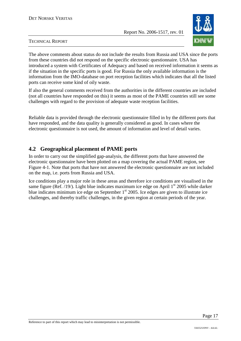

#### TECHNICAL REPORT

The above comments about status do not include the results from Russia and USA since the ports from these countries did not respond on the specific electronic questionnaire. USA has introduced a system with Certificates of Adequacy and based on received information it seems as if the situation in the specific ports is good. For Russia the only available information is the information from the IMO-database on port reception facilities which indicates that all the listed ports can receive some kind of oily waste.

If also the general comments received from the authorities in the different countries are included (not all countries have responded on this) it seems as most of the PAME countries still see some challenges with regard to the provision of adequate waste reception facilities.

Reliable data is provided through the electronic questionnaire filled in by the different ports that have responded, and the data quality is generally considered as good. In cases where the electronic questionnaire is not used, the amount of information and level of detail varies.

# **4.2 Geographical placement of PAME ports**

In order to carry out the simplified gap-analysis, the different ports that have answered the electronic questionnaire have been plotted on a map covering the actual PAME region, see Figure 4-1. Note that ports that have not answered the electronic questionnaire are not included on the map, i.e. ports from Russia and USA.

Ice conditions play a major role in these areas and therefore ice conditions are visualised in the same figure (Ref.  $/19$ ). Light blue indicates maximum ice edge on April  $1<sup>st</sup>$  2005 while darker blue indicates minimum ice edge on September  $1<sup>st</sup>$  2005. Ice edges are given to illustrate ice challenges, and thereby traffic challenges, in the given region at certain periods of the year.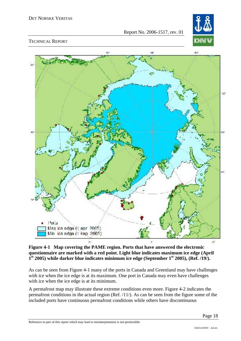

#### TECHNICAL REPORT



#### **Figure 4-1 Map covering the PAME region. Ports that have answered the electronic questionnaire are marked with a red point. Light blue indicates maximum ice edge (April**  1<sup>st</sup> 2005) while darker blue indicates minimum ice edge (September 1<sup>st</sup> 2005), (Ref. /19/).

As can be seen from Figure 4-1 many of the ports in Canada and Greenland may have challenges with ice when the ice edge is at its maximum. One port in Canada may even have challenges with ice when the ice edge is at its minimum.

A permafrost map may illustrate these extreme conditions even more. Figure 4-2 indicates the permafrost conditions in the actual region (Ref. /11/). As can be seen from the figure some of the included ports have continuous permafrost conditions while others have discontinuous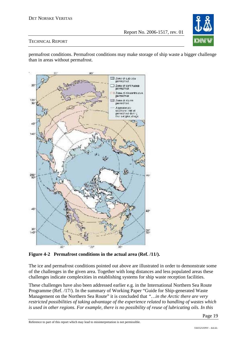

#### TECHNICAL REPORT

permafrost conditions. Permafrost conditions may make storage of ship waste a bigger challenge than in areas without permafrost.



**Figure 4-2 Permafrost conditions in the actual area (Ref. /11/).** 

The ice and permafrost conditions pointed out above are illustrated in order to demonstrate some of the challenges in the given area. Together with long distances and less populated areas these challenges indicate complexities in establishing systems for ship waste reception facilities.

These challenges have also been addressed earlier e.g. in the International Northern Sea Route Programme (Ref. /17/). In the summary of Working Paper "Guide for Ship-generated Waste Management on the Northern Sea Route" it is concluded that *"…in the Arctic there are very restricted possibilities of taking advantage of the experience related to handling of wastes which is used in other regions. For example, there is no possibility of reuse of lubricating oils. In this*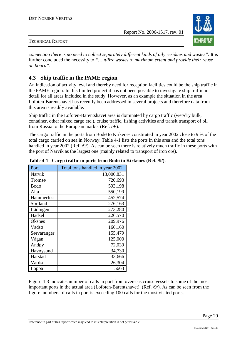

#### TECHNICAL REPORT

*connection there is no need to collect separately different kinds of oily residues and wastes".* It is further concluded the necessity to *"…utilize wastes to maximum extent and provide their reuse on board".* 

# **4.3 Ship traffic in the PAME region**

An indication of activity level and thereby need for reception facilities could be the ship traffic in the PAME region. In this limited project it has not been possible to investigate ship traffic in detail for all areas included in the study. However, as an example the situation in the area Lofoten-Barentshavet has recently been addressed in several projects and therefore data from this area is readily available.

Ship traffic in the Lofoten-Barentshavet area is dominated by cargo traffic (wet/dry bulk, container, other mixed cargo etc.), cruise traffic, fishing activities and transit transport of oil from Russia to the European market (Ref. /9/).

The cargo traffic in the ports from Bodø to Kirkenes constituted in year 2002 close to 9 % of the total cargo carried on sea in Norway. Table 4-1 lists the ports in this area and the total tons handled in year 2002 (Ref. /9/). As can be seen there is relatively much traffic in these ports with the port of Narvik as the largest one (mainly related to transport of iron ore).

| Port        | Total tons handled in year 2002 |
|-------------|---------------------------------|
| Narvik      | 13,000,831                      |
| Tromsø      | 720,693                         |
| Bodø        | 593,198                         |
| Alta        | 550,199                         |
| Hammerfest  | 452,574                         |
| Sortland    | 276,163                         |
| Lødingen    | 273,280                         |
| Hadsel      | 226,570                         |
| Øksnes      | 209,976                         |
| Vadsø       | 166,160                         |
| Sørvaranger | 155,479                         |
| Vågan       | 125,000                         |
| Andøy       | 72,039                          |
| Havøysund   | 34,730                          |
| Harstad     | 33,666                          |
| Vardø       | 26,304                          |
| Loppa       | 5663                            |

**Table 4-1 Cargo traffic in ports from Bodø to Kirkenes (Ref. /9/).** 

Figure 4-3 indicates number of calls in port from overseas cruise vessels to some of the most important ports in the actual area (Lofoten-Barentshavet), (Ref. /9/). As can be seen from the figure, numbers of calls in port is exceeding 100 calls for the most visited ports.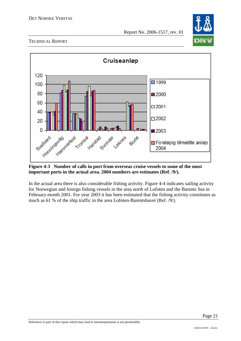



**Figure 4-3 Number of calls in port from overseas cruise vessels to some of the most important ports in the actual area. 2004 numbers are estimates (Ref. /9/).** 

In the actual area there is also considerable fishing activity. Figure 4-4 indicates sailing activity for Norwegian and foreign fishing vessels in the area north of Lofoten and the Barents Sea in February month 2001. For year 2003 it has been estimated that the fishing activity constitutes as much as 61 % of the ship traffic in the area Lofoten-Barentshavet (Ref. /9/).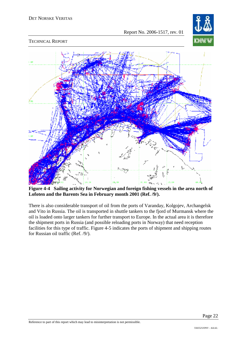

TECHNICAL REPORT



**Figure 4-4 Sailing activity for Norwegian and foreign fishing vessels in the area north of Lofoten and the Barents Sea in February month 2001 (Ref. /9/).** 

There is also considerable transport of oil from the ports of Varanday, Kolgojev, Archangelsk and Vito in Russia. The oil is transported in shuttle tankers to the fjord of Murmansk where the oil is loaded onto larger tankers for further transport to Europe. In the actual area it is therefore the shipment ports in Russia (and possible reloading ports in Norway) that need reception facilities for this type of traffic. Figure 4-5 indicates the ports of shipment and shipping routes for Russian oil traffic (Ref. /9/).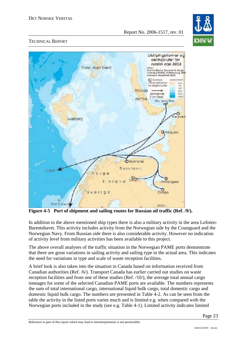

#### TECHNICAL REPORT



**Figure 4-5 Port of shipment and sailing routes for Russian oil traffic (Ref. /9/).** 

In addition to the above mentioned ship types there is also a military activity in the area Lofoten-Barentshavet. This activity includes activity from the Norwegian side by the Coastguard and the Norwegian Navy. From Russian side there is also considerable activity. However no indication of activity level from military activities has been available to this project.

The above overall analyses of the traffic situation in the Norwegian PAME ports demonstrate that there are great variations in sailing activity and sailing type in the actual area. This indicates the need for variations in type and scale of waste reception facilities.

A brief look is also taken into the situation in Canada based on information received from Canadian authorities (Ref. /6/). Transport Canada has earlier carried out studies on waste reception facilities and from one of these studies (Ref. /10/), the average total annual cargo tonnages for some of the selected Canadian PAME ports are available. The numbers represents the sum of total international cargo, international liquid bulk cargo, total domestic cargo and domestic liquid bulk cargo. The numbers are presented in Table 4-2. As can be seen from the table the activity in the listed ports varies much and is limited e.g. when compared with the Norwegian ports included in the study (see e.g. Table 4-1). Limited activity indicates limited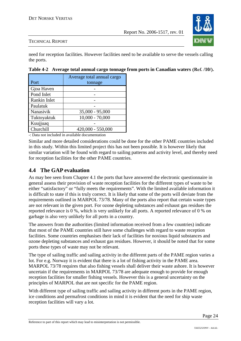

#### TECHNICAL REPORT

need for reception facilities. However facilities need to be available to serve the vessels calling the ports.

|              | Average total annual cargo |
|--------------|----------------------------|
| Port         | tonnage                    |
| Gjoa Haven   |                            |
| Pond Inlet   |                            |
| Rankin Inlet |                            |
| Paulatuk     |                            |
| Nanasivik    | $35,000 - 95,000$          |
| Tuktoyaktuk  | $10,000 - 70,000$          |
| Kuujjuaq     |                            |
| Churchill    | $420,000 - 550,000$        |

**Table 4-2 Average total annual cargo tonnage from ports in Canadian waters (Ref. /10/).**

-: Data not included in available documentation

Similar and more detailed considerations could be done for the other PAME countries included in this study. Within this limited project this has not been possible. It is however likely that similar variation will be found with regard to sailing patterns and activity level, and thereby need for reception facilities for the other PAME countries.

# **4.4 The GAP evaluation**

As may bee seen from Chapter 4.1 the ports that have answered the electronic questionnaire in general assess their provision of waste reception facilities for the different types of waste to be either "satisfactory" or "fully meets the requirements". With the limited available information it is difficult to state if this is truly correct. It is likely that some of the ports will deviate from the requirements outlined in MARPOL 73/78. Many of the ports also report that certain waste types are not relevant in the given port. For ozone depleting substances and exhaust gas residues the reported relevance is 0 %, which is very unlikely for all ports. A reported relevance of 0 % on garbage is also very unlikely for all ports in a country.

The answers from the authorities (limited information received from a few countries) indicate that most of the PAME countries still have some challenges with regard to waste reception facilities. Some countries emphasises their lack of facilities for noxious liquid substances and ozone depleting substances and exhaust gas residues. However, it should be noted that for some ports these types of waste may not be relevant.

The type of sailing traffic and sailing activity in the different parts of the PAME region varies a lot. For e.g. Norway it is evident that there is a lot of fishing activity in the PAME area. MARPOL 73/78 requires that also fishing vessels shall deliver their waste ashore. It is however uncertain if the requirements in MARPOL 73/78 are adequate enough to provide for enough reception facilities for smaller fishing vessels. However this is a general uncertainty on the principles of MARPOL that are not specific for the PAME region.

With different type of sailing traffic and sailing activity in different ports in the PAME region, ice conditions and permafrost conditions in mind it is evident that the need for ship waste reception facilities will vary a lot.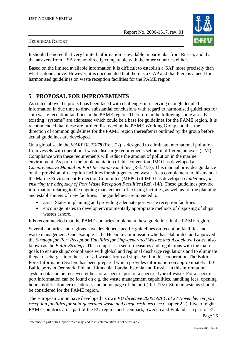

It should be noted that very limited information is available in particular from Russia, and that the answers from USA are not directly comparable with the other countries either.

Based on the limited available information it is difficult to establish a GAP more precisely than what is done above. However, it is documented that there is a GAP and that there is a need for harmonised guidelines on waste reception facilities for the PAME region.

# **5 PROPOSAL FOR IMPROVEMENTS**

As stated above the project has been faced with challenges in receiving enough detailed information in due time to draw substantial conclusions with regard to harmonised guidelines for ship waste reception facilities in the PAME region. Therefore in the following some already existing "systems" are addressed which could be a base for guidelines for the PAME region. It is recommended that these are further discussed in the PAME Working Group and that the direction of common guidelines for the PAME region thereafter is outlined by the group before actual guidelines are developed.

On a global scale the *MARPOL 73/78* (Ref. /1/) is designed to eliminate international pollution from vessels with operational waste discharge requirements set out in different annexes (I-VI). Compliance with these requirements will reduce the amount of pollution in the marine environment. As part of the implementation of this convention, IMO has developed a *Comprehensive Manual on Port Reception Facilities (Ref. /13/). This manual provides guidance* on the provision of reception facilities for ship-generated waste. As a complement to this manual the Marine Environment Protection Committee (MEPC) of IMO has developed *Guidelines for*  ensuring the adequacy of Port Waste Reception Facilities (Ref. /14/). These guidelines provide information relating to the ongoing management of existing facilities, as well as for the planning and establishment of new facilities. The guidelines are intended to:

- assist States in planning and providing adequate port waste reception facilities
- encourage States to develop environmentally appropriate methods of disposing of ships' wastes ashore.

It is recommended that the PAME countries implement these guidelines in the PAME region.

Several countries and regions have developed specific guidelines on reception facilities and waste management. One example is the Helsinki Commission who has elaborated and approved the *Strategy for Port Reception Facilities for Ship-generated Wastes and Associated Issues,* also known as the *Baltic Strategy*. This comprises a set of measures and regulations with the main goals to ensure ships' compliance with global and regional discharge regulations and to eliminate illegal discharges into the sea of all wastes from all ships. Within this cooperation The Baltic Ports Information System has been prepared which provides information on approximately 100 Baltic ports in Denmark, Poland, Lithuania, Latvia, Estonia and Russia. In this information system data can be retrieved either for a specific port or a specific type of waste. For a specific port information can be found on e.g. the waste management capabilities, handling fees, opening hours, notification terms, address and home page of the port (Ref. /15/). Similar systems should be considered for the PAME region.

The European Union have developed its own *EU directive 2000/59/EC of 27 November on port reception facilities for ship-generated waste and cargo residues (see Chapter 2.2). Five of eight* PAME countries are a part of the EU-regime and Denmark, Sweden and Finland as a part of EU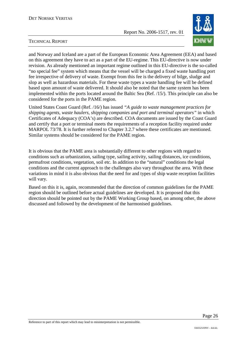

#### TECHNICAL REPORT

and Norway and Iceland are a part of the European Economic Area Agreement (EEA) and based on this agreement they have to act as a part of the EU-regime. This EU-directive is now under revision. As already mentioned an important regime outlined in this EU-directive is the so-called "no special fee" system which means that the vessel will be charged a fixed waste handling port fee irrespective of delivery of waste. Exempt from this fee is the delivery of bilge, sludge and slop as well as hazardous materials. For these waste types a waste handling fee will be defined based upon amount of waste delivered. It should also be noted that the same system has been implemented within the ports located around the Baltic Sea (Ref. /15/). This principle can also be considered for the ports in the PAME region.

United States Coast Guard (Ref. /16/) has issued *"A guide to waste management practices for shipping agents, waste haulers, shipping companies and port and terminal operators"* in which Certificates of Adequacy (COA's) are described. COA documents are issued by the Coast Guard and certify that a port or terminal meets the requirements of a reception facility required under MARPOL 73/78. It is further referred to Chapter 3.2.7 where these certificates are mentioned. Similar systems should be considered for the PAME region.

It is obvious that the PAME area is substantially different to other regions with regard to conditions such as urbanization, sailing type, sailing activity, sailing distances, ice conditions, permafrost conditions, vegetation, soil etc. In addition to the "natural" conditions the legal conditions and the current approach to the challenges also vary throughout the area. With these variations in mind it is also obvious that the need for and types of ship waste reception facilities will vary.

Based on this it is, again, recommended that the direction of common guidelines for the PAME region should be outlined before actual guidelines are developed. It is proposed that this direction should be pointed out by the PAME Working Group based, on among other, the above discussed and followed by the development of the harmonised guidelines.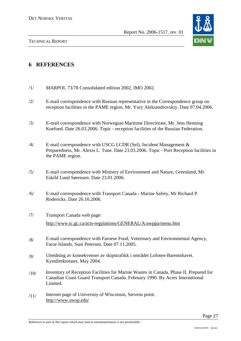

# **6 REFERENCES**

- /1/ MARPOL 73/78 Consolidated edition 2002, IMO 2002.
- /2/ E-mail correspondence with Russian representative in the Correspondence group on reception facilities in the PAME region, Mr. Yury Aleksandrovskiy. Date 07.04.2006.
- /3/ E-mail correspondence with Norwegian Maritime Directorate, Mr. Jens Henning Koefoed. Date 26.03.2006. Topic - reception facilities of the Russian Federation.
- $/4$  E-mail correspondence with USCG LCDR (Sel), Incident Management & Preparedness, Mr. Alexis L. Tune. Date 23.03.2006. Topic - Port Reception facilities in the PAME region.
- /5/ E-mail correspondence with Ministry of Environment and Nature, Greenland, Mr. Eskild Lund Sørensen. Date 23.01.2006.
- /6/ E-mail correspondence with Transport Canada Marine Safety, Mr Richard P. Rodericks. Date 26.10.2006.
- /7/ Transport Canada web page: http://www.tc.gc.ca/acts-regulations/GENERAL/A/awppa/menu.htm
- /8/ E-mail correspondence with Faroese Food, Veterinary and Environmental Agency, Faroe Islands, Suni Petersen. Date 07.11.2005.
- /9/ Utredning av konsekvenser av skipstrafikk i området Lofoten-Barentshavet. Kystdirektoratet, May 2004.
- /10/ Inventory of Reception Facilities for Marine Wastes in Canada, Phase II. Prepared for Canadian Coast Guard Transport Canada. February 1990. By Acres International Limited.
- /11/ Internet page of University of Wisconsin, Stevens point. http://www.uwsp.edu/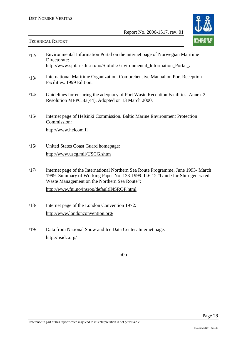

#### TECHNICAL REPORT

| /12/ | Environmental Information Portal on the internet page of Norwegian Maritime<br>Directorate:                                                                                                                         |
|------|---------------------------------------------------------------------------------------------------------------------------------------------------------------------------------------------------------------------|
|      | http://www.sjofartsdir.no/no/Sjofolk/Environmental_Information_Portal_/                                                                                                                                             |
| /13/ | International Maritime Organization. Comprehensive Manual on Port Reception<br>Facilities. 1999 Edition.                                                                                                            |
| /14/ | Guidelines for ensuring the adequacy of Port Waste Reception Facilities. Annex 2.<br>Resolution MEPC.83(44). Adopted on 13 March 2000.                                                                              |
| /15/ | Internet page of Helsinki Commission. Baltic Marine Environment Protection<br>Commission:                                                                                                                           |
|      | http://www.helcom.fi                                                                                                                                                                                                |
| /16/ | United States Coast Guard homepage:                                                                                                                                                                                 |
|      | http://www.uscg.mil/USCG.shtm                                                                                                                                                                                       |
| /17/ | Internet page of the International Northern Sea Route Programme, June 1993- March<br>1999. Summary of Working Paper No. 133-1999. II.6.12 "Guide for Ship-generated<br>Waste Management on the Northern Sea Route": |
|      | http://www.fni.no/insrop/defaultINSROP.html                                                                                                                                                                         |

- /18/ Internet page of the London Convention 1972: http://www.londonconvention.org/
- /19/ Data from National Snow and Ice Data Center. Internet page: http://nsidc.org/

- o0o -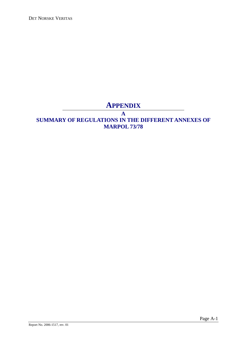DET NORSKE VERITAS

# **APPENDIX**

**A** 

# **SUMMARY OF REGULATIONS IN THE DIFFERENT ANNEXES OF MARPOL 73/78**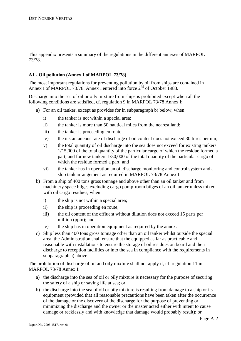This appendix presents a summary of the regulations in the different annexes of MARPOL 73/78.

## **A1 - Oil pollution (Annex I of MARPOL 73/78)**

The most important regulations for preventing pollution by oil from ships are contained in Annex I of MARPOL 73/78. Annex I entered into force  $2<sup>nd</sup>$  of October 1983.

Discharge into the sea of oil or oily mixture from ships is prohibited except when all the following conditions are satisfied, cf. regulation 9 in MARPOL 73/78 Annex I:

- a) For an oil tanker, except as provides for in subparagraph b) below, when:
	- i) the tanker is not within a special area;
	- ii) the tanker is more than 50 nautical miles from the nearest land:
	- iii) the tanker is proceeding en route;
	- iv) the instantaneous rate of discharge of oil content does not exceed 30 litres per nm;
	- v) the total quantity of oil discharge into the sea does not exceed for existing tankers 1/15,000 of the total quantity of the particular cargo of which the residue formed a part, and for new tankers 1/30,000 of the total quantity of the particular cargo of which the residue formed a part; and
	- vi) the tanker has in operation an oil discharge monitoring and control system and a slop tank arrangement as required in MARPOL 73/78 Annex I.
- b) From a ship of 400 tons gross tonnage and above other than an oil tanker and from machinery space bilges excluding cargo pump-room bilges of an oil tanker unless mixed with oil cargo residues, when:
	- i) the ship is not within a special area;
	- ii) the ship is proceeding en route;
	- iii) the oil content of the effluent without dilution does not exceed 15 parts per million (ppm); and
	- iv) the ship has in operation equipment as required by the annex.
- c) Ship less than 400 tons gross tonnage other than an oil tanker whilst outside the special area, the Administration shall ensure that the equipped as far as practicable and reasonable with installations to ensure the storage of oil residues on board and their discharge to reception facilities or into the sea in compliance with the requirements in subparagraph a) above.

The prohibition of discharge of oil and oily mixture shall not apply if, cf. regulation 11 in MARPOL 73/78 Annex I:

- a) the discharge into the sea of oil or oily mixture is necessary for the purpose of securing the safety of a ship or saving life at sea; or
- b) the discharge into the sea of oil or oily mixture is resulting from damage to a ship or its equipment (provided that all reasonable precautions have been taken after the occurrence of the damage or the discovery of the discharge for the purpose of preventing or minimizing the discharge and the owner or the master acted either with intent to cause damage or recklessly and with knowledge that damage would probably result); or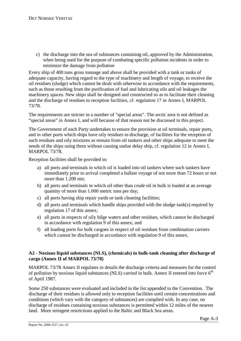c) the discharge into the sea of substances containing oil, approved by the Administration, when being used for the purpose of combating specific pollution incidents in order to minimize the damage from pollution

Every ship of 400 tons gross tonnage and above shall be provided with a tank or tanks of adequate capacity, having regard to the type of machinery and length of voyage, to receive the oil residues (sludge) which cannot be dealt with otherwise in accordance with the requirements, such as those resulting from the purification of fuel and lubricating oils and oil leakages the machinery spaces. New ships shall be designed and constructed so as to facilitate their cleaning and the discharge of residues to reception facilities, cf. regulation 17 in Annex I, MARPOL 73/78.

The requirements are stricter in a number of "special areas". The arctic area is not defined as "special areas" in Annex I, and will because of that reason not be discussed in this project.

The Government of each Party undertakes to ensure the provision at oil terminals, repair ports, and in other ports which ships have oily residues to discharge, of facilities for the reception of such residues and oily mixtures as remain from oil tankers and other ships adequate to meet the needs of the ships using them without causing undue delay ship, cf. regulation 12 in Annex I, MARPOL 73/78.

Reception facilities shall be provided in:

- a) all ports and terminals in which oil is loaded into oil tankers where such tankers have immediately prior to arrival completed a ballast voyage of not more than 72 hours or not more than 1.200 nm;
- b) all ports and terminals in which oil other than crude oil in bulk is loaded at an average quantity of more than 1.000 metric tons per day;
- c) all ports having ship repair yards or tank cleaning facilities;
- d) all ports and terminals which handle ships provided with the sludge tank(s) required by regulation 17 of this annex;
- e) all ports in respects of oily bilge waters and other residues, which cannot be discharged in accordance with regulation 9 of this annex; and
- f) all loading ports for bulk cargoes in respect of oil residues from combination carriers which cannot be discharged in accordance with regulation 9 of this annex.

#### **A2 - Noxious liquid substances (NLS), (chemicals) in bulk-tank cleaning after discharge of cargo (Annex II of MARPOL 73/78)**

MARPOL 73/78 Annex II regulates in details the discharge criteria and measures for the control of pollution by noxious liquid substances (NLS) carried in bulk. Annex II entered into force  $6<sup>th</sup>$ of April 1987.

Some 250 substances were evaluated and included in the list appended to the Convention. The discharge of their residues is allowed only to reception facilities until certain concentrations and conditions (which vary with the category of substances) are complied with. In any case, no discharge of residues containing noxious substances is permitted within 12 miles of the nearest land. More stringent restrictions applied to the Baltic and Black Sea areas.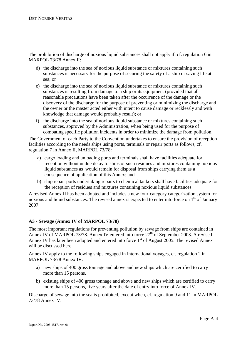The prohibition of discharge of noxious liquid substances shall not apply if, cf. regulation 6 in MARPOL 73/78 Annex II:

- d) the discharge into the sea of noxious liquid substance or mixtures containing such substances is necessary for the purpose of securing the safety of a ship or saving life at sea; or
- e) the discharge into the sea of noxious liquid substance or mixtures containing such substances is resulting from damage to a ship or its equipment (provided that all reasonable precautions have been taken after the occurrence of the damage or the discovery of the discharge for the purpose of preventing or minimizing the discharge and the owner or the master acted either with intent to cause damage or recklessly and with knowledge that damage would probably result); or
- f) the discharge into the sea of noxious liquid substance or mixtures containing such substances, approved by the Administration, when being used for the purpose of combating specific pollution incidents in order to minimize the damage from pollution.

The Government of each Party to the Convention undertakes to ensure the provision of reception facilities according to the needs ships using ports, terminals or repair ports as follows, cf. regulation 7 in Annex II, MARPOL 73/78:

- a) cargo loading and unloading ports and terminals shall have facilities adequate for reception without undue delay to ships of such residues and mixtures containing noxious liquid substances as would remain for disposal from ships carrying them as a consequence of application of this Annex; and
- b) ship repair ports undertaking repairs to chemical tankers shall have facilities adequate for the reception of residues and mixtures containing noxious liquid substances.

A revised Annex II has been adopted and includes a new four-category categorization system for noxious and liquid substances. The revised annex is expected to enter into force on  $1<sup>st</sup>$  of January 2007.

# **A3 - Sewage (Annex IV of MARPOL 73/78)**

The most important regulations for preventing pollution by sewage from ships are contained in Annex IV of MARPOL 73/78. Annex IV entered into force 27<sup>th</sup> of September 2003. A revised Annex IV has later been adopted and entered into force  $1<sup>st</sup>$  of August 2005. The revised Annex will be discussed here.

Annex IV apply to the following ships engaged in international voyages, cf. regulation 2 in MARPOL 73/78 Annex IV:

- a) new ships of 400 gross tonnage and above and new ships which are certified to carry more than 15 persons.
- b) existing ships of 400 gross tonnage and above and new ships which are certified to carry more than 15 persons, five years after the date of entry into force of Annex IV.

Discharge of sewage into the sea is prohibited, except when, cf. regulation 9 and 11 in MARPOL 73/78 Annex IV: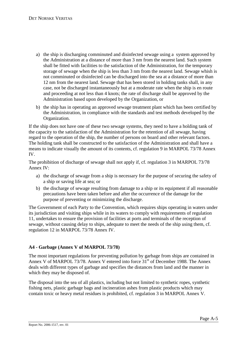- a) the ship is discharging comminuted and disinfected sewage using a system approved by the Administration at a distance of more than 3 nm from the nearest land. Such system shall be fitted with facilities to the satisfaction of the Administration, for the temporary storage of sewage when the ship is less than 3 nm from the nearest land. Sewage whish is not comminuted or disinfected can be discharged into the sea at a distance of more than 12 nm from the nearest land. Sewage that has been stored in holding tanks shall, in any case, not be discharged instantaneously but at a moderate rate when the ship is en route and proceeding at not less than 4 knots; the rate of discharge shall be approved by the Administration based upon developed by the Organization, or
- b) the ship has in operating an approved sewage treatment plant which has been certified by the Administration, in compliance with the standards and test methods developed by the Organization.

If the ship does not have one of these two sewage systems, they need to have a holding tank of the capacity to the satisfaction of the Administration for the retention of all sewage, having regard to the operation of the ship, the number of persons on board and other relevant factors. The holding tank shall be constructed to the satisfaction of the Administration and shall have a means to indicate visually the amount of its contents, cf. regulation 9 in MARPOL 73/78 Annex IV.

The prohibition of discharge of sewage shall not apply if, cf. regulation 3 in MARPOL 73/78 Annex IV:

- a) the discharge of sewage from a ship is necessary for the purpose of securing the safety of a ship or saving life at sea; or
- b) the discharge of sewage resulting from damage to a ship or its equipment if all reasonable precautions have been taken before and after the occurrence of the damage for the purpose of preventing or minimizing the discharge.

The Government of each Party to the Convention, which requires ships operating in waters under its jurisdiction and visiting ships while in its waters to comply with requirements of regulation 11, undertakes to ensure the provision of facilities at ports and terminals of the reception of sewage, without causing delay to ships, adequate to meet the needs of the ship using them, cf. regulation 12 in MARPOL 73/78 Annex IV.

# **A4 - Garbage (Annex V of MARPOL 73/78)**

The most important regulations for preventing pollution by garbage from ships are contained in Annex V of MARPOL 73/78. Annex V entered into force 31<sup>st</sup> of December 1988. The Annex deals with different types of garbage and specifies the distances from land and the manner in which they may be disposed of.

The disposal into the sea of all plastics, including but not limited to synthetic ropes, synthetic fishing nets, plastic garbage bags and incineration ashes from plastic products which may contain toxic or heavy metal residues is prohibited, cf. regulation 3 in MARPOL Annex V.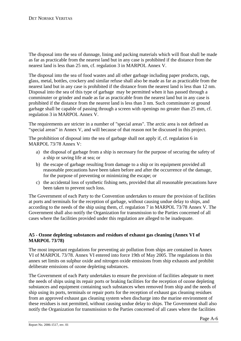The disposal into the sea of dunnage, lining and packing materials which will float shall be made as far as practicable from the nearest land but in any case is prohibited if the distance from the nearest land is less than 25 nm, cf. regulation 3 in MARPOL Annex V.

The disposal into the sea of food wastes and all other garbage including paper products, rags, glass, metal, bottles, crockery and similar refuse shall also be made as far as practicable from the nearest land but in any case is prohibited if the distance from the nearest land is less than 12 nm. Disposal into the sea of this type of garbage may be permitted when it has passed through a comminuter or grinder and made as far as practicable from the nearest land but in any case is prohibited if the distance from the nearest land is less than 3 nm. Such comminuter or ground garbage shall be capable of passing through a screen with openings no greater than 25 mm, cf. regulation 3 in MARPOL Annex V.

The requirements are stricter in a number of "special areas". The arctic area is not defined as "special areas" in Annex V, and will because of that reason not be discussed in this project.

The prohibition of disposal into the sea of garbage shall not apply if, cf. regulation 6 in MARPOL 73/78 Annex V:

- a) the disposal of garbage from a ship is necessary for the purpose of securing the safety of a ship or saving life at sea; or
- b) the escape of garbage resulting from damage to a ship or its equipment provided all reasonable precautions have been taken before and after the occurrence of the damage, for the purpose of preventing or minimizing the escape; or
- c) the accidental loss of synthetic fishing nets, provided that all reasonable precautions have been taken to prevent such loss.

The Government of each Party to the Convention undertakes to ensure the provision of facilities at ports and terminals for the reception of garbage, without causing undue delay to ships, and according to the needs of the ship using them, cf. regulation 7 in MARPOL 73/78 Annex V. The Government shall also notify the Organization for transmission to the Parties concerned of all cases where the facilities provided under this regulation are alleged to be inadequate.

#### **A5 - Ozone depleting substances and residues of exhaust gas cleaning (Annex VI of MARPOL 73/78)**

The most important regulations for preventing air pollution from ships are contained in Annex VI of MARPOL 73/78. Annex VI entered into force 19th of May 2005. The regulations in this annex set limits on sulphur oxide and nitrogen oxide emissions from ship exhausts and prohibit deliberate emissions of ozone depleting substances.

The Government of each Party undertakes to ensure the provision of facilities adequate to meet the needs of ships using its repair ports or braking facilities for the reception of ozone depleting substances and equipment containing such substances when removed from ship and the needs of ship using its ports, terminals or repair ports for the reception of exhaust gas cleaning residues from an approved exhaust gas cleaning system when discharge into the marine environment of these residues is not permitted, without causing undue delay to ships. The Government shall also notify the Organization for transmission to the Parties concerned of all cases where the facilities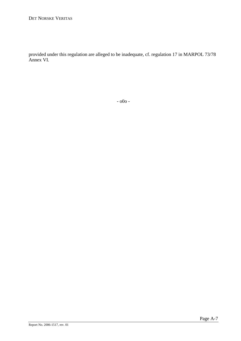provided under this regulation are alleged to be inadequate, cf. regulation 17 in MARPOL 73/78 Annex VI.

- o0o -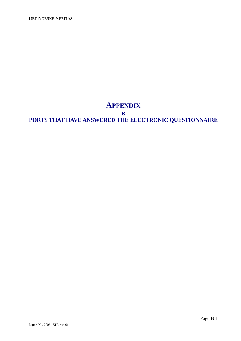DET NORSKE VERITAS

# **APPENDIX**

**B** 

# **PORTS THAT HAVE ANSWERED THE ELECTRONIC QUESTIONNAIRE**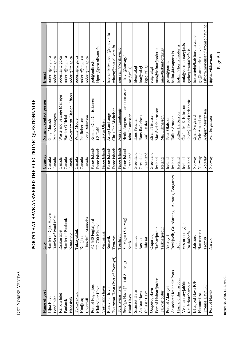| ۲<br>۲<br>E<br>ŗ |  |
|------------------|--|
| ļ<br>:<br>קר     |  |
| l<br>Ľ           |  |

| Name of port                      | City                                        | Country       | Name of contact person         | E-mail                           |
|-----------------------------------|---------------------------------------------|---------------|--------------------------------|----------------------------------|
| Gjoa Haven                        | Hamlet of Gjoa Haven                        | Canada        | Greg Morash                    | roderir@tc.gc.ca                 |
| Pond Inlet                        | Hamlet of Pond Inlet                        | Canada        | Paniloo Sangoya                | roderir@tc.gc.ca                 |
| Rankin Inlet                      | Rankin Inlet                                | Canada        | Waste and Sewage Manager       | roderir@tc.gc.ca                 |
| Paulatuk                          | Hamlet of Paulatuk                          | Canada        | Hamlet Official                | roderir@tc.gc.ca                 |
| Nanasivik                         | Nanasivik                                   | Canada        | Governement Liasion Officer    | roderir@tc.gc.ca                 |
| Tuktoyaktuk                       | Tuktoyaktuk                                 | Canada        | Willie Moore                   | roderir@tc.gc.ca                 |
| Kuujjuaq                          | Kuujjuaq                                    | Canada        | Ian Robertson                  | roderir@tc.gc.ca                 |
| Churchill                         | Churchill, Manitoba                         | Canada        | Doug Robinson                  | roderir@tc.gc.ca                 |
| Port of Fuglafjord                | FO-530 Fuglafjord                           | Faroe Islands | Kristian Oluf Christiansen     | pof@online.fo                    |
| Klaksvikar Havn                   | FO-700 Klaksvik                             | Faroe Islands | J.Z.Dahl                       | klport@post.olivant.fo           |
| Vestmanna havn                    | Vestmanna                                   | Faroe Islands | Leivur Olsen                   |                                  |
| Runavíkar havn                    | Runavík                                     | Faroe Islands | Jákup Lamhauge                 | havnarskrivstovan@runavik.fo     |
| Tvøroyrar Havn (Port of Tvoroyri) | Tyøroyri                                    | Faroe Islands | Chris Jan Michelsen            | tvhavn@post.olivant.fo           |
| Tórshavnar havn                   | Tórshavn                                    | Faroe Islands | Jónsvein Lamhauge              | jonsvein@torshavn.fo             |
| Sørvágs Havn (Port of Soervag)    | Sørvágur (Soervag)                          | Faroe Islands | Heðin Jørgensen, harbourmaster | s-havn@sorvag.fo                 |
| Nuuk Havn                         | Nuuk                                        | Greenland     | John Rasmussen                 | $ras@ral-gl$                     |
| Sisimiut Havn                     | Sisimiut                                    | Greenland     | Hans Fencher                   | hfe@ral.gl                       |
| Aasiaat Havn                      | Aasiaat                                     | Greenland     | Hans Rafaelsen                 | $\text{hra@ral.gl}$              |
| Ilulissat Havn                    | Ilulissat                                   | Greenland     | Karl Geisler                   | kga@ral.gl                       |
| Qaqortoq Havn                     | Qaqortoq                                    | Greenland     | Efraim Tittussen               | eti@ral.gl                       |
| Port of Hafnarfjordur             | Hafnarfjordur                               | Iceland       | Mar Sveinbjornsson             | mar@hafnarfjordur.is             |
| Talknafjordur                     | Talknafjordur                               | Iceland       | Már Erlingsson                 | mar@talknafjordur.is             |
| Port of Akureyri                  | Akureyri                                    | Iceland       | Petur Olafsson                 | petur@port.is                    |
| Associated Icelandic Ports        | Reykjavík, Grundartangi, Akranes, Borgarnes | Iceland       | Hallur Arnason                 | hallur@faxaports.is              |
| Homafjordur harbour               | Hofn                                        | Iceland       | Sigfús Harðarson               | hofnin@hornafjordur.is           |
| Vestmannaeyjahöfn                 | Vestmannaeyjar                              | Iceland       | Ólafur M. Kristinsson          | omk@vestmannaeyjar.is            |
| Raufarhöfnharbour                 | Raufarhöfn                                  | Iceland       | Guðný Hrund Karlsdóttir        | gudny@raufarhofn.is              |
| Båtsfjord Havn K/F                | Båtsfjord                                   | Norway        | Ørjan Nergaard                 | havnesjef@batsfjord.havn.no      |
| Hammerfest                        | Hammerfest                                  | Norway        | Geir Amundsen                  | ga@hammerfest.havn.no            |
| Tromsø Havn KF                    | Tromsø                                      | Norway        | Asbjørn Mortensen              | asbjorn.mortensen@tromso.havn.no |
| Port of Narvik                    | Narvik                                      | Norway        | Ivan Jørgensen                 | ij@narvikhavn.no                 |

# PORTS THAT HAVE ANSWERED THE ELECTRONIC QUESTIONNAIRE **PORTS THAT HAVE ANSWERED THE ELECTRONIC QUESTIONNAIRE**

Г

Report No. 2006-1517, rev. 01 Report No. 2006-1517, rev. 01

Page B-1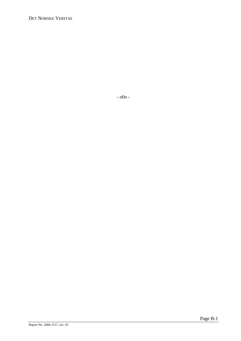DET NORSKE VERITAS

- o0o -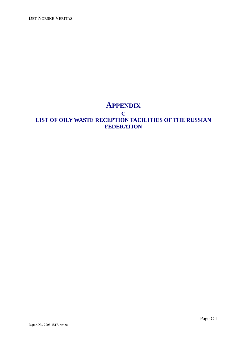DET NORSKE VERITAS

# **APPENDIX**

#### **C**

# **LIST OF OILY WASTE RECEPTION FACILITIES OF THE RUSSIAN FEDERATION**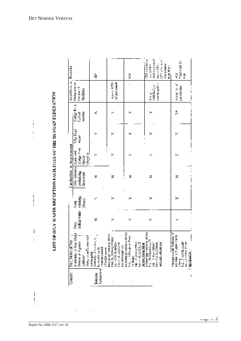LIST OF OLLY WASTE RECEPTION FACILITIES OF THE RUSSIAN FEDERATION

 $\frac{1}{2}$  $\ddot{\phantom{a}}$  $\overline{\phantom{a}}$ 

 $\begin{matrix} \vdots \\ \vdots \end{matrix}$ 

 $\mathsf{i}$ 

 $\vdots$ 

 $\begin{array}{c} \n\vdots \\
\vdots \\
\end{array}$ 

| $\overline{\text{Comry}}$             | Port, Nume of Port                                                          |                   |                                | Cam facilities in the port occept                             |                         |                       |                                            | Restriction on Propins                            |                           |
|---------------------------------------|-----------------------------------------------------------------------------|-------------------|--------------------------------|---------------------------------------------------------------|-------------------------|-----------------------|--------------------------------------------|---------------------------------------------------|---------------------------|
|                                       | Auditory or Any Olivia<br>Person or Agency<br>Address                       | balkat water<br>Ĕ | entable:<br>Salops)<br>tianik. | Dily mixtures   seals and<br><b>2000/active</b><br>shencients | きん ふきつ<br><b>Bergin</b> | مجافا والأن<br>NG AFT | <b>Sindes from</b><br>Turitier<br>fuel oil | limitation on<br><b>Free use</b> of<br>fundities. |                           |
|                                       | Peligi da esta stevital<br>Arkitecipelsk                                    |                   |                                |                                                               | chaning.                |                       |                                            |                                                   |                           |
| <b>Failear</b> indi<br><b>Russian</b> | Authority - Castrini<br>Kalla Market St.                                    | z                 |                                | z                                                             |                         |                       | ۷                                          |                                                   | Ă                         |
|                                       | 178157300<br><b>Hydrogen</b>                                                |                   |                                |                                                               |                         |                       |                                            |                                                   |                           |
|                                       | Mercinersk Authority of Ser<br>hat, 19, hatocy hrace :<br>Termit 2018/12/24 | >                 |                                | z                                                             |                         |                       |                                            | Acaret 6000                                       |                           |
|                                       | みんじゅん ふくしゅう                                                                 |                   |                                |                                                               |                         |                       |                                            | e' per assailt                                    |                           |
|                                       | or Sep<br><b>Neithern President</b><br>care distribution of                 |                   |                                |                                                               |                         |                       |                                            |                                                   |                           |
|                                       | <b>Particularly in Print</b>                                                | 5                 |                                | z                                                             | ,                       |                       |                                            |                                                   | ÿ                         |
|                                       | 医肠切除术 医心理<br><b>Single</b>                                                  |                   |                                |                                                               |                         |                       |                                            |                                                   |                           |
|                                       | $(48 + 0.1453322)$                                                          |                   |                                |                                                               |                         |                       |                                            |                                                   |                           |
|                                       | 灵老<br>o bitteriorgenterior<br>ariste famig dann                             |                   |                                |                                                               |                         |                       |                                            |                                                   | The sections of           |
|                                       | President Computation S                                                     | ⊱                 |                                | z                                                             |                         |                       |                                            | á.                                                | <b>Weblated</b>           |
|                                       | <b>1d.</b> 2-dia-10890<br>Pay -1-8:2-3274020                                |                   |                                |                                                               |                         |                       |                                            | rontām <sup>a</sup> per                           | <b>WERE SERVED</b>        |
|                                       | للاحق للاكتاب                                                               |                   |                                |                                                               |                         |                       |                                            | commodation                                       | 117 yek mar-<br>was a 500 |
|                                       |                                                                             |                   |                                |                                                               |                         |                       |                                            |                                                   | <b>WEST END?</b>          |
|                                       |                                                                             |                   |                                |                                                               |                         |                       |                                            |                                                   | than Silvier              |
|                                       | Microsoft week Authority of<br>Societies 1, Yuzany Val St.                  | y.                |                                | z                                                             | ×                       |                       | ţ.                                         | hard as n                                         | į                         |
|                                       | vinne<br>Tel. (1981) 78-59185                                               |                   |                                |                                                               |                         |                       |                                            | par ene day                                       | y leas carn 19            |
|                                       | <b>The Maria Corporation</b>                                                |                   |                                |                                                               |                         |                       |                                            |                                                   | Ë                         |
|                                       | $\frac{1}{2}$ and $\frac{1}{2}$                                             |                   |                                |                                                               |                         |                       |                                            |                                                   |                           |

 $\ddot{\phantom{0}}$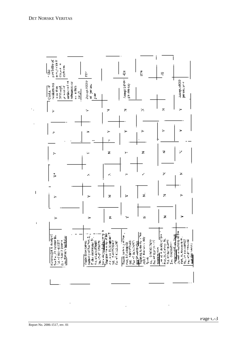

 $\overline{\phantom{a}}$ 

 $\ddot{\phantom{a}}$ 

 $\ddot{\phantom{0}}$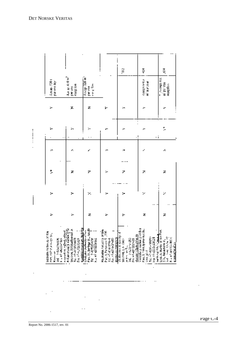$\begin{array}{c}\n\vdots \\
\vdots \\
\vdots\n\end{array}$ 

|                                                                                                 |                                                                                                                                                                                                                                                                                                                                                                                                                                            |                                                                                                 |                                                                                                                      | â                                                                                                                                     | ş                                                                                                                                                                                                                                    | Ę,                                                                                                     |
|-------------------------------------------------------------------------------------------------|--------------------------------------------------------------------------------------------------------------------------------------------------------------------------------------------------------------------------------------------------------------------------------------------------------------------------------------------------------------------------------------------------------------------------------------------|-------------------------------------------------------------------------------------------------|----------------------------------------------------------------------------------------------------------------------|---------------------------------------------------------------------------------------------------------------------------------------|--------------------------------------------------------------------------------------------------------------------------------------------------------------------------------------------------------------------------------------|--------------------------------------------------------------------------------------------------------|
| (2.301<br>participa                                                                             | $A_2A_3A_2A_3\Pi_1$<br>reception<br>pe de                                                                                                                                                                                                                                                                                                                                                                                                  | Accept 320 m<br>ion plan<br>ra ce                                                               |                                                                                                                      |                                                                                                                                       | Construction<br>mi parysar                                                                                                                                                                                                           | n Accept IV.<br>000.04.00<br>reagán                                                                    |
| ↣                                                                                               | z                                                                                                                                                                                                                                                                                                                                                                                                                                          | z                                                                                               |                                                                                                                      | ∽                                                                                                                                     | ۰                                                                                                                                                                                                                                    |                                                                                                        |
| .,                                                                                              | ۰,                                                                                                                                                                                                                                                                                                                                                                                                                                         | >-                                                                                              |                                                                                                                      | ۰                                                                                                                                     | ۰<br>٠i                                                                                                                                                                                                                              | ţ.                                                                                                     |
| s,                                                                                              | ×.                                                                                                                                                                                                                                                                                                                                                                                                                                         |                                                                                                 | þу.                                                                                                                  | г.                                                                                                                                    |                                                                                                                                                                                                                                      | ×.                                                                                                     |
| ļ.                                                                                              | z                                                                                                                                                                                                                                                                                                                                                                                                                                          | 7                                                                                               | ≻                                                                                                                    | 7                                                                                                                                     | z                                                                                                                                                                                                                                    | z                                                                                                      |
| ×                                                                                               | ≻                                                                                                                                                                                                                                                                                                                                                                                                                                          | ×                                                                                               | s,                                                                                                                   | ↣                                                                                                                                     | z                                                                                                                                                                                                                                    |                                                                                                        |
| ≻                                                                                               | ≻                                                                                                                                                                                                                                                                                                                                                                                                                                          | z                                                                                               | ⋗                                                                                                                    | ↣                                                                                                                                     | z                                                                                                                                                                                                                                    | z                                                                                                      |
| SEPANDA ACTIONES OF SA<br>the specialists for the<br>the codes ヒナメエ<br>ARRANGEMENT DE<br>Kassan | ł<br>$\begin{array}{l} \displaystyle \frac{1}{1+ x ^{2}}\sum_{i=1}^{n} \frac{1}{1+ x ^{2}}\sum_{i=1}^{n} \frac{1}{1+ x ^{2}}\sum_{i=1}^{n} \frac{1}{1+ x ^{2}}\sum_{i=1}^{n} \frac{1}{1+ x ^{2}}\sum_{i=1}^{n} \frac{1}{1+ x ^{2}}\sum_{i=1}^{n} \frac{1}{1+ x ^{2}}\sum_{i=1}^{n} \frac{1}{1+ x ^{2}}\sum_{i=1}^{n} \frac{1}{1+ x ^{2}}\sum_{i=1}^{n} \frac{$<br>ination Citation I.<br>La sterior Citation<br>List, and clearly separate | Part 31, Berings St., Architects<br>Latingly Authority of Sun<br>N 7-322-HF<br>Fix +7 427229562 | Machodia Airports of Séa<br>Patria, Peripaga R., 200<br>ור ויחודי או לא זותו ביות<br>18, 47,404(3916-6<br>おやなぶ ロイビース | Chilis, shee A dan ity - C<br>danan takaburran<br>potes politica<br>Tele Petale vel83<br><b>DRAFT-PERSONS</b><br>Sac Port, 4, N. Smo- | Vosteski glavnica ter član<br>Pau, 1. Mnje iponomen Sul<br>Paul 1. Vince Ipproving.<br>والمعتقل الخادا فرداناتهم<br>Tel: HP-4236-10090<br>Participation of the Second Second<br>$\frac{1}{2}$ . Notice $\frac{1}{2}$ , $\frac{1}{2}$ | Lyst At Inarity of See Port.<br>经支付 医三<br>F. 347-8613-0830<br>2 A., Religionary,<br><u>manasimalar</u> |

÷,

÷,

 $\bar{L}$  .

 $\ddot{\phantom{a}}$ 

 $\ddots$ 

J

 $\overline{\phantom{a}}$ 

 $\ddotsc$ 

 $\ddot{\phantom{a}}$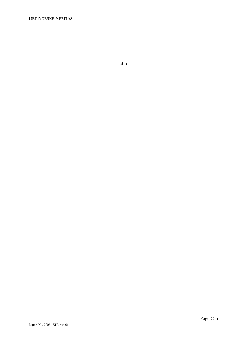DET NORSKE VERITAS

- o0o -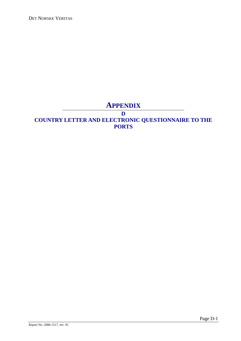DET NORSKE VERITAS

# **APPENDIX**

**D** 

# **COUNTRY LETTER AND ELECTRONIC QUESTIONNAIRE TO THE PORTS**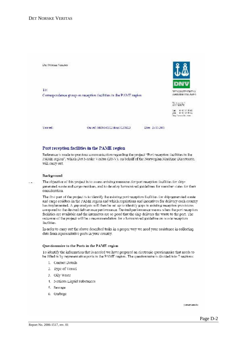

#### Port reception facilities in the PAME region

Reference is made to previous communication regarding the project "Port reception facilities in the PAME region", which Det Norske Veritas (DNV), on behalf of the Norwegian Maritime Directorate, will cany out.

#### Background

The objective of this project is to assess existing measures for part reception facilities for ship- $\alpha \to \infty$ generated waste and cargo residues, and to develop harmonized guidelines for member states for their consideration.

The first part of the project is to identify the existing port reception facilities for ship-generated wasteand cargo residues in the PAME region and which regulations and incentives for delivery each country has implemented. A gap analysis will then be set up to identify gaps in existing reception provisions. compared to the desired deliverance performance. Desired performance means when the port reception. facilities are available and the intensives are so good that the ship delivers the waste to the port. The outcome of the project will be a recommendation for a harmonized guideline on waste reception. facilities.

In order to earry out the above described tasks in a proper way we need your assistance in collecting data from representative ports in your country.

#### Questionnaire to the Ports in the PAME region

To identify the information that is needed we have prepared an electronic questionnaire that needs to be filled in by representative ports in the PAME region. The questionnaire is divided into 7 sections:

- 1. Contact Details
- 2. Type of Vessel
- 3. Oily Waste
- 4. Noxious Liquid Substances
- 5. Sewage
- 6. Garbage

Comprisonde: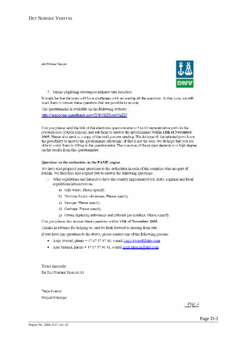DET NORSKE VERLIKS



7. Ozone Depleting Substances/Exhaust Gas Residues.

It might be that the ports will have challenges with answering all the questions. In that case, we still want them to answer these questions that are possible to answer.

The questionnaire is available on the following website:

http://response.questback.com/DNV/SZ3yn4YaZ2/

Can you please send the link of the electronic questionnaire to 5 to 10 representative ports in the research area (PAME region), and ask them to answer the questionnaire within 11th of November 2005. Please also send us a copy of the mail you are sending. We do hope all the selected ports have the possibility to answer the questionnaire electronic. If that is not the case, we do hope that you are able to assist them in filling in the questionnaire. The outcome of the project depends to a high degree on the results from this questionnaire.

#### Questions to the authorities in the PAME region

We have also prepared some questions to the authorities in each of the countries who are part of PAME. We therefore also request you to answer the following questions:

- What regulations and intensives have the country implemented (ex. IMO, regional and local regulations/intensives) on:
	- a) Oily waste. Please specify.
	- b) Noxious liquid substances. Please specify.
	- c) Sewage. Please specify.
	- d) Garbage. Please specify.
	- c) Ozone depleting substances and exhaust gas residues. Please specify,

Can you please also answer these questions within 11th of November 2005.

Thanks in advance for helping us, and we look forward to hearing from you.

If you have any questions to the above, please contact one of the following persons:

- · Terje Sverud, phone +47 67 57 87 80, e-mail Terje Sverud@dny.com
- · Kari Skogen, phone + 47 67 57 96 41, e-mail Kari Skogen/@dpy.com

Yours sincerely. for DET NORSKE VEHITAS AS

Terie Svenzi Project Manager

 $P$ age  $Z$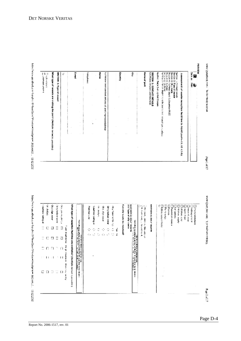| prisper copy of               | or dade eo   | Gistan Aran | www.convertised | ş             |             | What bypa of reception facilities are   |                             | Postage can |                        | ٠<br>Ì | or viscous |                   | Distance of the |   | Cun oliy waste be received? | <b>BECOMO AT DO TO NOTES</b><br><b>MANTES</b> | Participant, primarily at<br>Participant, primarily at<br>きりとき | MERCENT XI, COLLY VIOLENCE | Tegler, seed | In a wry. | Ilsais            | crown was | <b>CREAR AND</b>     | <b>ROLLAR</b> | <b>Echanization for the</b><br>process the season<br>Fishing or wards |
|-------------------------------|--------------|-------------|-----------------|---------------|-------------|-----------------------------------------|-----------------------------|-------------|------------------------|--------|------------|-------------------|-----------------|---|-----------------------------|-----------------------------------------------|----------------------------------------------------------------|----------------------------|--------------|-----------|-------------------|-----------|----------------------|---------------|-----------------------------------------------------------------------|
|                               |              |             |                 | Generation of |             |                                         | ٠                           |             | load historical agus l |        |            | Ditty belief were | d               |   |                             | other where                                   |                                                                |                            | Ĭ            |           | Property of Acres |           | <b>China control</b> |               |                                                                       |
| Ξ                             | с            | П           | Ξ               | $\Box$        | ź           |                                         | š                           |             |                        | Q      |            |                   | ٠<br>w          | E |                             | ii Saasa wa                                   | 2000/12/09 22:00:00                                            |                            |              |           | ×.                |           |                      |               |                                                                       |
| $\overline{\phantom{a}}$<br>÷ |              | □           | Ξ               | □             | Î<br>art.   |                                         | 発表には、                       | a.          | ٠                      |        | 2. 2.      | ٠                 | C.              | R |                             | i<br>×                                        |                                                                |                            |              |           |                   |           |                      |               |                                                                       |
| Ξ                             |              |             |                 |               | Į           |                                         |                             |             |                        |        |            |                   |                 |   |                             |                                               |                                                                |                            |              |           |                   |           |                      |               |                                                                       |
| $\mathbb{R}^n$                | $\mathbf{I}$ | ÷ I         |                 | ш             | in the<br>ĩ |                                         | <b>Manifestation Street</b> |             |                        |        |            |                   |                 |   |                             |                                               |                                                                |                            |              |           |                   |           |                      |               |                                                                       |
| с                             | Ω            | ⊐           | T               | Ð             | Ĩ<br>ĵ<br>Î | available? (Nutfiple autore currection) | Į                           |             |                        |        |            |                   |                 |   |                             | 86<br>35<br>Į                                 |                                                                |                            |              |           |                   |           |                      |               |                                                                       |

DET NORSKE VERITAS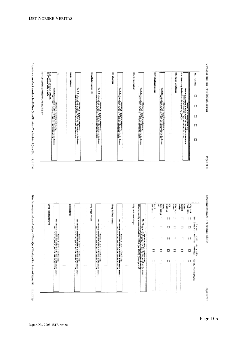

| Which service probabilities are disable to the<br>SECTION 2: OULY WASHE.<br>3.1 Type of My Washe<br><b>Jackson Marie Allen and Artist Advised Advised</b>                                                                                                                                                                                                                                                                                                                                                            | Sourcester<br>e e de la propieta de la propieta de la propieta de la propieta de la propieta de la propieta de la propieta d<br>La propieta de la propieta de la propieta de la propieta de la propieta de la propieta de la propieta del prop | <b>Used futurizating all</b><br>where $\mathbf{w}_i$ is the contract of the property of the space of the contract of the contract of the contract of the contract of the contract of the contract of the contract of the contract of the contract of the contract<br>F<br><b>ROBERT BLACK STORY - TEACHER</b> | <b>Mississi</b><br>e de la propieta de la partida de la partida de la partida de la partida de la partida de la partida de la par<br>La partida de la partida de la partida de la partida de la partida de la partida de la partida de la partida d | City bilge water<br>$\begin{array}{l} \hbox{M236 B} \mathcal{L} \mathcal{R} \mathcal{R} \mathcal{R} \mathcal{R} \mathcal{R} \mathcal{R} \mathcal{R} \mathcal{R} \mathcal{R} \mathcal{R} \mathcal{R} \mathcal{R} \mathcal{R} \mathcal{R} \mathcal{R} \mathcal{R} \mathcal{R} \mathcal{R} \mathcal{R} \mathcal{R} \mathcal{R} \mathcal{R} \mathcal{R} \mathcal{R} \mathcal{R} \mathcal{R} \mathcal{R} \mathcal{R} \mathcal{R} \mathcal{R} \mathcal{R} \mathcal{R} \mathcal{R$ | Dirty buildet waber | 10、 一个 网络 10 小型 10 小型 10 小型 10 小型 10 小型 10 小型 10 小型 10 小型 10 小型 10 小型 10 小型 10 小型 10 小型 10 小型 10 小型 10 小型 10 小型<br>A more process to be added to the | Cliff train what fires<br>the their any linderings in copy by (a)? | アンドラインド こうしん<br>where the contract contract of the second contract of $\mathcal{L}^{\text{max}}_{\text{max}}$ is a contract of the contract of the contract of the contract of the contract of the contract of the contract of the contract of the contract of t<br>Ω<br>$\Box$<br>u<br>П<br>Ο |
|----------------------------------------------------------------------------------------------------------------------------------------------------------------------------------------------------------------------------------------------------------------------------------------------------------------------------------------------------------------------------------------------------------------------------------------------------------------------------------------------------------------------|------------------------------------------------------------------------------------------------------------------------------------------------------------------------------------------------------------------------------------------------|---------------------------------------------------------------------------------------------------------------------------------------------------------------------------------------------------------------------------------------------------------------------------------------------------------------|-----------------------------------------------------------------------------------------------------------------------------------------------------------------------------------------------------------------------------------------------------|-----------------------------------------------------------------------------------------------------------------------------------------------------------------------------------------------------------------------------------------------------------------------------------------------------------------------------------------------------------------------------------------------------------------------------------------------------------------------------|---------------------|------------------------------------------------------------------------------------------------------------------------------------------------------|--------------------------------------------------------------------|------------------------------------------------------------------------------------------------------------------------------------------------------------------------------------------------------------------------------------------------------------------------------------------------|
| <b>Uwd lubricating of</b>                                                                                                                                                                                                                                                                                                                                                                                                                                                                                            | misnik 10                                                                                                                                                                                                                                      | <b>Old with your control</b><br>$\frac{1}{2}$<br><b>We can be defined</b>                                                                                                                                                                                                                                     | Distribution water                                                                                                                                                                                                                                  | Oily tack wouldnings<br>g (1884), for (2010), for (2010), for (2010), perspective to a statistical control perspectively in the second control of the second control of the second control of the second control of the second control of the second c                                                                                                                                                                                                                      | Se cres<br>Ī<br>z   | <b>Bupper</b><br>Ĕ<br>£<br>Ī<br>n<br>п<br>П<br>П                                                                                                     | in fair<br>arian Awa<br>ă<br>R<br>S<br>1<br>Z<br>Ľ,                | eta esse<br>ym/10<br>Į<br><b>WE ENDAND</b><br>1<br>į<br>σ                                                                                                                                                                                                                                      |
|                                                                                                                                                                                                                                                                                                                                                                                                                                                                                                                      | 11、我们的生活,我们的生活,我们的生活,我们的生活,我们的生活,我们的生活,我们的生活,我们的生活,我们的生活,我们的生活,我们的生活,我们的生活,我们的生活,我们的生活,我们的生活,我们的生活,我                                                                                                                                           |                                                                                                                                                                                                                                                                                                               | The South of World Windows State State State State State State State State State<br>The South State State State State State State State State State State State State State State State                                                             | a política de la construcción de la construcción de la construcción de la construcción de la construcción de l<br>The following política de la construcción de la construcción de la construcción de la construcción de la const                                                                                                                                                                                                                                            |                     | П<br>Н                                                                                                                                               | 1<br>J.                                                            | 医皮肤病<br>annie.<br>11                                                                                                                                                                                                                                                                           |
|                                                                                                                                                                                                                                                                                                                                                                                                                                                                                                                      |                                                                                                                                                                                                                                                | 2010年の1月1日に、1990年に、1990年に、1990年に、1990年に、1990年に、1990年に、1990年に、1990年に、1990年に、1990年に、1990年に、1990年に、1990年に、1<br>The fact is chosen in reading to the                                                                                                                                                              | The company of the company of the company of                                                                                                                                                                                                        |                                                                                                                                                                                                                                                                                                                                                                                                                                                                             | Ξ                   | Ξ<br>□                                                                                                                                               | Ξ<br>Ξ                                                             | <b>RELACIÓNSE</b><br>α                                                                                                                                                                                                                                                                         |
| $\label{eq:2.1} \begin{split} \text{Tr}\left(\mathbf{u}^{\prime\prime}\mathbf{u}^{\prime\prime}\right) & = \frac{1}{2}\mathbf{u}^{\prime\prime} \left(\mathbf{u}^{\prime\prime\prime}\right) + \frac{1}{2}\mathbf{u}^{\prime\prime\prime} \left(\mathbf{u}^{\prime\prime}\right) + \frac{1}{2}\mathbf{u}^{\prime\prime\prime} \left(\mathbf{u}^{\prime\prime}\right) + \frac{1}{2}\mathbf{u}^{\prime\prime\prime} \left(\mathbf{u}^{\prime\prime}\right) + \frac{1}{2}\mathbf{u}^{\prime\prime\prime} \left(\mathbf$ |                                                                                                                                                                                                                                                |                                                                                                                                                                                                                                                                                                               |                                                                                                                                                                                                                                                     |                                                                                                                                                                                                                                                                                                                                                                                                                                                                             | J                   | ×,<br>ш                                                                                                                                              |                                                                    | Mot. Food world<br>t 1                                                                                                                                                                                                                                                                         |

 $10.222$  we can always a set of  $\Omega$  is a set of  $\Omega$  and  $\Omega$  and  $\Omega$  and  $\Omega$  and  $\Omega$  and  $\Omega$  and  $\Omega$  and  $\Omega$ 

 $10\,a$  (co-variable around as given  $0$  in the collection of the Spin-HOC are  $10\,a$  .  $11\,a$  (1)

Post of U

www.hakership.com/www.com/

**Popilatio** 

 $\mathit{new}(\mathit{Quot}(\mathit{in}(\mathit{in}(\mathit{out}(\mathit{out}(\mathit{out}(\mathit{out}(\mathit{out}(\mathit{out}(\mathit{out}(\mathit{out}(\mathit{out}(\mathit{out}(\mathit{out}(\mathit{out}(\mathit{out}(\mathit{out}(\mathit{out}(\mathit{out}(\mathit{out}(\mathit{out}(\mathit{out}(\mathit{out}(\mathit{out}(\mathit{out}(\mathit{out}(\mathit{out}(\mathit{out}(\mathit{out}(\mathit{out}(\mathit{out}(\mathit{out}(\mathit{out}(\mathit{out}(\mathit{out}(\mathit$ 

Met, now weter.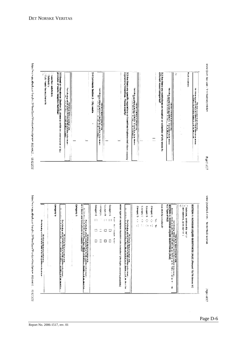

**Intervention CONSIGNS (ICC)** 





**Stgs** of L7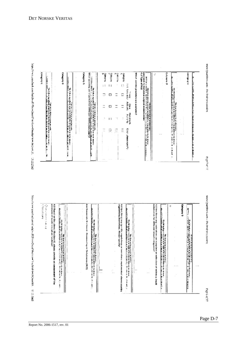

 $\frac{1}{2}$  (see Eq. (1995).  $\frac{1}{2}$  (2005). And (1906). And (1904). And (1904) are the see that is a subsequent of the set of the set of the set of the set of the set of the set of the set of the set of the set of the se e de<br>Caracter о Алевиид p AccReag Cabellary A ن<br>والمعالمة<br>والمعالمة Critown B a Archesco Which service provides are available? **CARGON** Asseme) Î 一个是个人的,我们的人们的人们,我们的人们的人们的人们的人们的人们的人们的人们的人们的人们的人们的人们的人,可以是一个人生活的人生的人生的人生的人生的人生的人生的人生的人生的人生的人生的人生的人生的人 Ü rent to modern<br>March p.  $\mathbb{F}^{\mathbb{Z}}$  $\equiv$  $\Box$  $\Box$  $\Box$ Antune.<br>Kata  $\equiv$ E  $\equiv$ G **There**  $\Box$  $\bar{z}$ Cintriple and a people О Ξ وارد که در این کار در این کار کرد.<br>اگر این کار کار کار کار کرد که که





www.Qradillack.orm - The findings polation

 $\mathcal{C}(\mathcal{M})\subset\mathcal{C}(\mathcal{C})$ 

www.Queditasion.com - Dedredbass.com

3.2. Ben Harra any roadednions on many law on the outletten of residence if put it.<br>Autoconomy de film we were a comparative

b

0.Augusto

 $\label{eq:R1} \begin{array}{ll} \displaystyle \left\langle \mathcal{L}_{\mathcal{A}}\right\rangle_{\mathcal{A}}\left\langle \mathcal{L}_{\mathcal{A}}\right\rangle_{\mathcal{A}}= \left\langle \mathcal{L}_{\mathcal{A}}\right\rangle_{\mathcal{A}}\left\langle \mathcal{L}_{\mathcal{A}}\right\rangle_{\mathcal{A}}\left\langle \mathcal{L}_{\mathcal{A}}\right\rangle_{\mathcal{A}}\left\langle \mathcal{L}_{\mathcal{A}}\right\rangle_{\mathcal{A}}\left\langle \mathcal{L}_{\mathcal{A}}\right\rangle_{\mathcal{A}}\left\langle \mathcal{L}_{\math$ 

ی کیس بازی به هم میشود که در این کار در این مورد در این کار این کار این کار این کار این کار این کار این کار ای<br>مورد این کار این کار این کار این کار این کار این کار این کار این کار این کار این کار این کار این کار این کار ا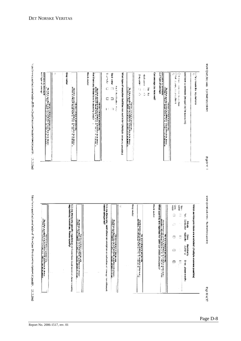

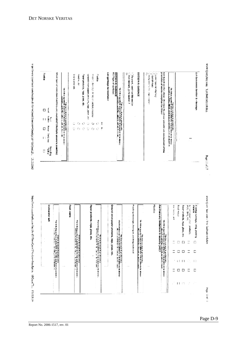

ø

ç.<br>Ç

**White Park** 

Ø.

Soldmann,

πηρείδευσε επικεινές εκποίου ήταν dia 95 metal (9 percent breating and 10 percent). 12.0.2.2000

ni ni sa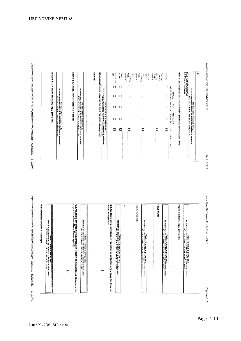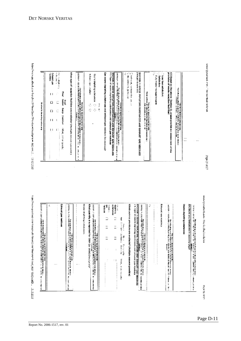

**Class than eat do they** 

**Containing** 

movement on the country.

Them are the

have a special contract of experiments of the state matches of  $\alpha$  ( ) in the special contract of  $\alpha$ 

bination<br>Robert Control de partier de la control de la control de la control de la control de la control de la control de la c<br>Control de la control de la control de la control de la control de la control de la control de la control de l White opposition fulfilling and available? (Nutiple arrows a province) Can expose deploting autodoxicate and extremely as mediates he received ! on and a string of the string plant of the string of a string string and construction.<br>The string of the string of the string of the string of the string of the string of the string of the string o<br>String of the string of Edward got revided consideration or passes Ę  $\mathbf{I}$ general<br>Second  $\Box$  $\Box$ This beam in the annihing and an application of the б<br>О Ć,  $\frac{1}{2}$ ö **DOW** CONTACT  $\Box$ C

DET NORSKE VERITAS

**Papel 36 at 13** 

were (Jacobschen - The norther sold sold or

2003 of U

www.tj.cotlock.com - The fit.dheis while